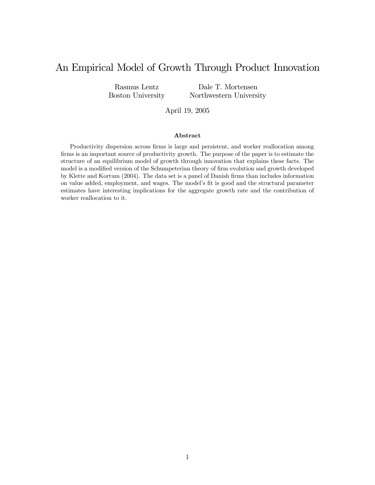# An Empirical Model of Growth Through Product Innovation

Rasmus Lentz Boston University

Dale T. Mortensen Northwestern University

April 19, 2005

#### Abstract

Productivity dispersion across firms is large and persistent, and worker reallocation among firms is an important source of productivity growth. The purpose of the paper is to estimate the structure of an equilibrium model of growth through innovation that explains these facts. The model is a modified version of the Schumpeterian theory of firm evolution and growth developed by Klette and Kortum (2004). The data set is a panel of Danish firms than includes information on value added, employment, and wages. The model's fit is good and the structural parameter estimates have interesting implications for the aggregate growth rate and the contribution of worker reallocation to it.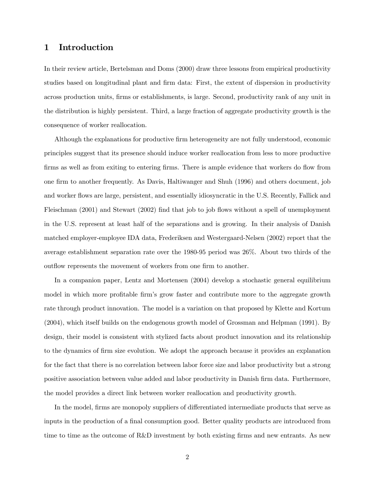### 1 Introduction

In their review article, Bertelsman and Doms (2000) draw three lessons from empirical productivity studies based on longitudinal plant and firm data: First, the extent of dispersion in productivity across production units, firms or establishments, is large. Second, productivity rank of any unit in the distribution is highly persistent. Third, a large fraction of aggregate productivity growth is the consequence of worker reallocation.

Although the explanations for productive firm heterogeneity are not fully understood, economic principles suggest that its presence should induce worker reallocation from less to more productive firms as well as from exiting to entering firms. There is ample evidence that workers do flow from one firm to another frequently. As Davis, Haltiwanger and Shuh (1996) and others document, job and worker flows are large, persistent, and essentially idiosyncratic in the U.S. Recently, Fallick and Fleischman (2001) and Stewart (2002) find that job to job flows without a spell of unemployment in the U.S. represent at least half of the separations and is growing. In their analysis of Danish matched employer-employee IDA data, Frederiksen and Westergaard-Nelsen (2002) report that the average establishment separation rate over the 1980-95 period was 26%. About two thirds of the outflow represents the movement of workers from one firm to another.

In a companion paper, Lentz and Mortensen (2004) develop a stochastic general equilibrium model in which more profitable firm's grow faster and contribute more to the aggregate growth rate through product innovation. The model is a variation on that proposed by Klette and Kortum (2004), which itself builds on the endogenous growth model of Grossman and Helpman (1991). By design, their model is consistent with stylized facts about product innovation and its relationship to the dynamics of firm size evolution. We adopt the approach because it provides an explanation for the fact that there is no correlation between labor force size and labor productivity but a strong positive association between value added and labor productivity in Danish firm data. Furthermore, the model provides a direct link between worker reallocation and productivity growth.

In the model, firms are monopoly suppliers of differentiated intermediate products that serve as inputs in the production of a final consumption good. Better quality products are introduced from time to time as the outcome of R&D investment by both existing firms and new entrants. As new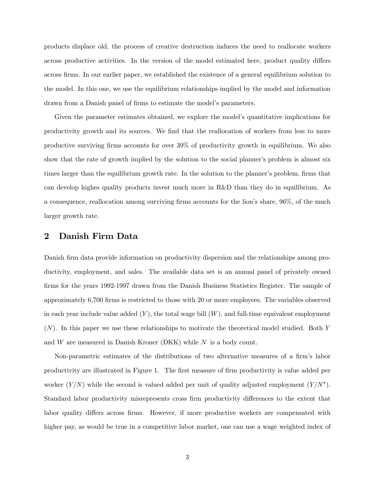products displace old, the process of creative destruction induces the need to reallocate workers across productive activities. In the version of the model estimated here, product quality differs across firms. In our earlier paper, we established the existence of a general equilibrium solution to the model. In this one, we use the equilibrium relationships implied by the model and information drawn from a Danish panel of firms to estimate the model's parameters.

Given the parameter estimates obtained, we explore the model's quantitative implications for productivity growth and its sources. We find that the reallocation of workers from less to more productive surviving firms accounts for over 39% of productivity growth in equilibrium. We also show that the rate of growth implied by the solution to the social planner's problem is almost six times larger than the equilibrium growth rate. In the solution to the planner's problem, firms that can develop highes quality products invest much more in R&D than they do in equilibrium. As a consequence, reallocation among surviving firms accounts for the lion's share, 96%, of the much larger growth rate.

### 2 Danish Firm Data

Danish firm data provide information on productivity dispersion and the relationships among productivity, employment, and sales. The available data set is an annual panel of privately owned firms for the years 1992-1997 drawn from the Danish Business Statistics Register. The sample of approximately 6,700 firms is restricted to those with 20 or more employees. The variables observed in each year include value added  $(Y)$ , the total wage bill  $(W)$ , and full-time equivalent employment (N). In this paper we use these relationships to motivate the theoretical model studied. Both Y and  $W$  are measured in Danish Kroner (DKK) while  $N$  is a body count.

Non-parametric estimates of the distributions of two alternative measures of a firm's labor productivity are illustrated in Figure 1. The first measure of firm productivity is value added per worker  $(Y/N)$  while the second is valued added per unit of quality adjusted employment  $(Y/N^*)$ . Standard labor productivity misrepresents cross firm productivity differences to the extent that labor quality differs across firms. However, if more productive workers are compensated with higher pay, as would be true in a competitive labor market, one can use a wage weighted index of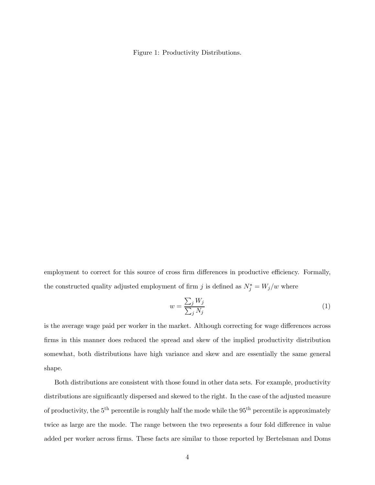Figure 1: Productivity Distributions.

employment to correct for this source of cross firm differences in productive efficiency. Formally, the constructed quality adjusted employment of firm j is defined as  $N_j^* = W_j/w$  where

$$
w = \frac{\sum_{j} W_j}{\sum_{j} N_j} \tag{1}
$$

is the average wage paid per worker in the market. Although correcting for wage differences across firms in this manner does reduced the spread and skew of the implied productivity distribution somewhat, both distributions have high variance and skew and are essentially the same general shape.

Both distributions are consistent with those found in other data sets. For example, productivity distributions are significantly dispersed and skewed to the right. In the case of the adjusted measure of productivity, the  $5<sup>th</sup>$  percentile is roughly half the mode while the  $95<sup>th</sup>$  percentile is approximately twice as large are the mode. The range between the two represents a four fold difference in value added per worker across firms. These facts are similar to those reported by Bertelsman and Doms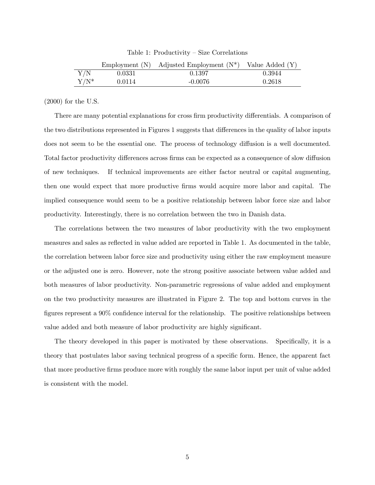|             |        | Employment (N) Adjusted Employment $(N^*)$ | Value Added $(Y)$ |
|-------------|--------|--------------------------------------------|-------------------|
| ${\rm Y/N}$ | 0.0331 | 0.1397                                     | 0.3944            |
| $Y/N^*$     | 0.0114 | $-0.0076$                                  | 0.2618            |

Table 1: Productivity — Size Correlations

(2000) for the U.S.

There are many potential explanations for cross firm productivity differentials. A comparison of the two distributions represented in Figures 1 suggests that differences in the quality of labor inputs does not seem to be the essential one. The process of technology diffusion is a well documented. Total factor productivity differences across firms can be expected as a consequence of slow diffusion of new techniques. If technical improvements are either factor neutral or capital augmenting, then one would expect that more productive firms would acquire more labor and capital. The implied consequence would seem to be a positive relationship between labor force size and labor productivity. Interestingly, there is no correlation between the two in Danish data.

The correlations between the two measures of labor productivity with the two employment measures and sales as reflected in value added are reported in Table 1. As documented in the table, the correlation between labor force size and productivity using either the raw employment measure or the adjusted one is zero. However, note the strong positive associate between value added and both measures of labor productivity. Non-parametric regressions of value added and employment on the two productivity measures are illustrated in Figure 2. The top and bottom curves in the figures represent a 90% confidence interval for the relationship. The positive relationships between value added and both measure of labor productivity are highly significant.

The theory developed in this paper is motivated by these observations. Specifically, it is a theory that postulates labor saving technical progress of a specific form. Hence, the apparent fact that more productive firms produce more with roughly the same labor input per unit of value added is consistent with the model.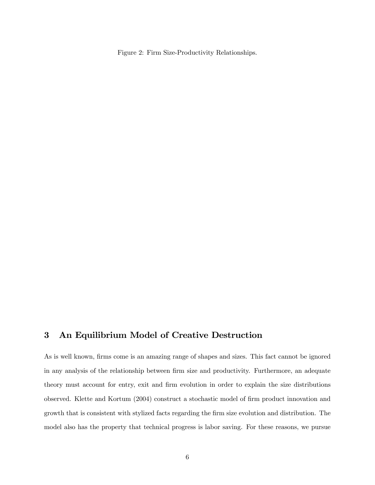Figure 2: Firm Size-Productivity Relationships.

# 3 An Equilibrium Model of Creative Destruction

As is well known, firms come is an amazing range of shapes and sizes. This fact cannot be ignored in any analysis of the relationship between firm size and productivity. Furthermore, an adequate theory must account for entry, exit and firm evolution in order to explain the size distributions observed. Klette and Kortum (2004) construct a stochastic model of firm product innovation and growth that is consistent with stylized facts regarding the firm size evolution and distribution. The model also has the property that technical progress is labor saving. For these reasons, we pursue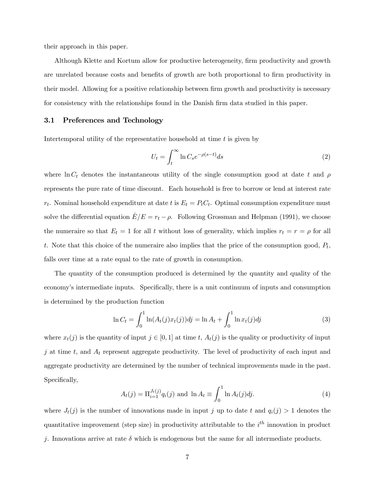their approach in this paper.

Although Klette and Kortum allow for productive heterogeneity, firm productivity and growth are unrelated because costs and benefits of growth are both proportional to firm productivity in their model. Allowing for a positive relationship between firm growth and productivity is necessary for consistency with the relationships found in the Danish firm data studied in this paper.

#### 3.1 Preferences and Technology

Intertemporal utility of the representative household at time t is given by

$$
U_t = \int_t^{\infty} \ln C_s e^{-\rho(s-t)} ds
$$
 (2)

where ln  $C_t$  denotes the instantaneous utility of the single consumption good at date t and  $\rho$ represents the pure rate of time discount. Each household is free to borrow or lend at interest rate  $r_t$ . Nominal household expenditure at date t is  $E_t = P_t C_t$ . Optimal consumption expenditure must solve the differential equation  $E/E = r_t - \rho$ . Following Grossman and Helpman (1991), we choose the numeraire so that  $E_t = 1$  for all t without loss of generality, which implies  $r_t = r = \rho$  for all t. Note that this choice of the numeraire also implies that the price of the consumption good,  $P_t$ , falls over time at a rate equal to the rate of growth in consumption.

The quantity of the consumption produced is determined by the quantity and quality of the economy's intermediate inputs. Specifically, there is a unit continuum of inputs and consumption is determined by the production function

$$
\ln C_t = \int_0^1 \ln(A_t(j)x_t(j)) \, dj = \ln A_t + \int_0^1 \ln x_t(j) \, dj \tag{3}
$$

where  $x_t(j)$  is the quantity of input  $j \in [0, 1]$  at time t,  $A_t(j)$  is the quality or productivity of input j at time t, and  $A_t$  represent aggregate productivity. The level of productivity of each input and aggregate productivity are determined by the number of technical improvements made in the past. Specifically,

$$
A_t(j) = \Pi_{i=1}^{J_t(j)} q_i(j) \text{ and } \ln A_t \equiv \int_0^1 \ln A_t(j) dj. \tag{4}
$$

where  $J_t(j)$  is the number of innovations made in input j up to date t and  $q_i(j) > 1$  denotes the quantitative improvement (step size) in productivity attributable to the  $i^{th}$  innovation in product j. Innovations arrive at rate  $\delta$  which is endogenous but the same for all intermediate products.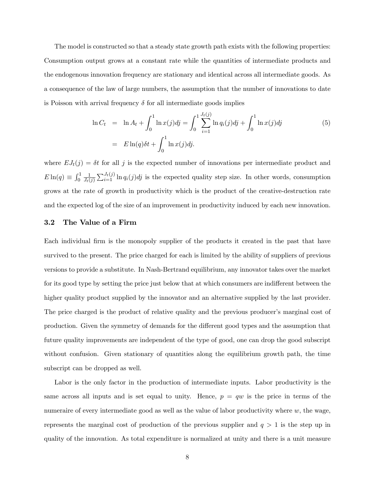The model is constructed so that a steady state growth path exists with the following properties: Consumption output grows at a constant rate while the quantities of intermediate products and the endogenous innovation frequency are stationary and identical across all intermediate goods. As a consequence of the law of large numbers, the assumption that the number of innovations to date is Poisson with arrival frequency  $\delta$  for all intermediate goods implies

$$
\ln C_t = \ln A_t + \int_0^1 \ln x(j)dj = \int_0^1 \sum_{i=1}^{J_t(j)} \ln q_i(j)dj + \int_0^1 \ln x(j)dj
$$
\n
$$
= E \ln(q)\delta t + \int_0^1 \ln x(j)dj. \tag{5}
$$

where  $EJ_t(j) = \delta t$  for all j is the expected number of innovations per intermediate product and  $E\ln(q) \equiv \int_0^1$ 1  $\frac{1}{J_t(j)} \sum_{i=1}^{J_t(j)} \ln q_i(j)$  is the expected quality step size. In other words, consumption grows at the rate of growth in productivity which is the product of the creative-destruction rate and the expected log of the size of an improvement in productivity induced by each new innovation.

#### 3.2 The Value of a Firm

Each individual firm is the monopoly supplier of the products it created in the past that have survived to the present. The price charged for each is limited by the ability of suppliers of previous versions to provide a substitute. In Nash-Bertrand equilibrium, any innovator takes over the market for its good type by setting the price just below that at which consumers are indifferent between the higher quality product supplied by the innovator and an alternative supplied by the last provider. The price charged is the product of relative quality and the previous producer's marginal cost of production. Given the symmetry of demands for the different good types and the assumption that future quality improvements are independent of the type of good, one can drop the good subscript without confusion. Given stationary of quantities along the equilibrium growth path, the time subscript can be dropped as well.

Labor is the only factor in the production of intermediate inputs. Labor productivity is the same across all inputs and is set equal to unity. Hence,  $p = qw$  is the price in terms of the numeraire of every intermediate good as well as the value of labor productivity where  $w$ , the wage, represents the marginal cost of production of the previous supplier and  $q > 1$  is the step up in quality of the innovation. As total expenditure is normalized at unity and there is a unit measure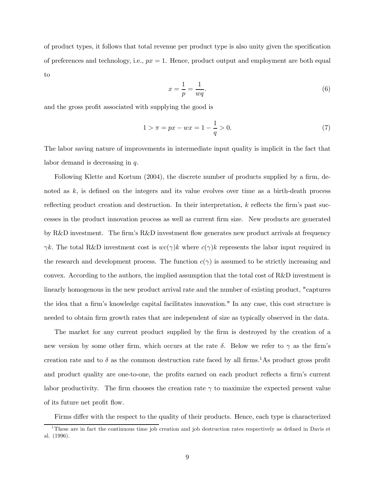of product types, it follows that total revenue per product type is also unity given the specification of preferences and technology, i.e.,  $px = 1$ . Hence, product output and employment are both equal to

$$
x = \frac{1}{p} = \frac{1}{wq}.\tag{6}
$$

and the gross profit associated with supplying the good is

$$
1 > \pi = px - wx = 1 - \frac{1}{q} > 0.
$$
 (7)

The labor saving nature of improvements in intermediate input quality is implicit in the fact that labor demand is decreasing in q.

Following Klette and Kortum (2004), the discrete number of products supplied by a firm, denoted as k, is defined on the integers and its value evolves over time as a birth-death process reflecting product creation and destruction. In their interpretation, k reflects the firm's past successes in the product innovation process as well as current firm size. New products are generated by R&D investment. The firm's R&D investment flow generates new product arrivals at frequency  $\gamma k$ . The total R&D investment cost is  $wc(\gamma)k$  where  $c(\gamma)k$  represents the labor input required in the research and development process. The function  $c(\gamma)$  is assumed to be strictly increasing and convex. According to the authors, the implied assumption that the total cost of R&D investment is linearly homogenous in the new product arrival rate and the number of existing product, "captures the idea that a firm's knowledge capital facilitates innovation." In any case, this cost structure is needed to obtain firm growth rates that are independent of size as typically observed in the data.

The market for any current product supplied by the firm is destroyed by the creation of a new version by some other firm, which occurs at the rate  $\delta$ . Below we refer to  $\gamma$  as the firm's creation rate and to  $\delta$  as the common destruction rate faced by all firms.<sup>1</sup>As product gross profit and product quality are one-to-one, the profits earned on each product reflects a firm's current labor productivity. The firm chooses the creation rate  $\gamma$  to maximize the expected present value of its future net profit flow.

Firms differ with the respect to the quality of their products. Hence, each type is characterized

<sup>&</sup>lt;sup>1</sup>These are in fact the continuous time job creation and job destruction rates respectively as defined in Davis et al. (1996).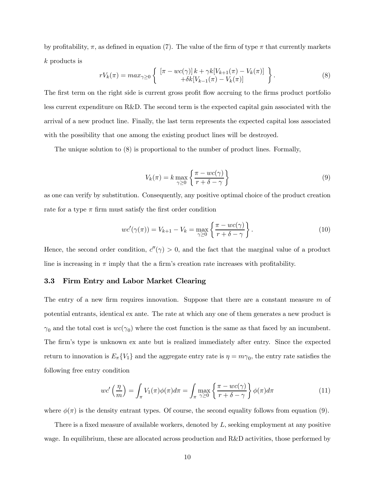by profitability,  $\pi$ , as defined in equation (7). The value of the firm of type  $\pi$  that currently markets k products is

$$
rV_k(\pi) = \max_{\gamma \ge 0} \left\{ \begin{array}{c} \left[ \pi - wc(\gamma) \right] k + \gamma k [V_{k+1}(\pi) - V_k(\pi)] \\ + \delta k [V_{k-1}(\pi) - V_k(\pi)] \end{array} \right\}.
$$
 (8)

The first term on the right side is current gross profit flow accruing to the firms product portfolio less current expenditure on R&D. The second term is the expected capital gain associated with the arrival of a new product line. Finally, the last term represents the expected capital loss associated with the possibility that one among the existing product lines will be destroyed.

The unique solution to (8) is proportional to the number of product lines. Formally,

$$
V_k(\pi) = k \max_{\gamma \ge 0} \left\{ \frac{\pi - wc(\gamma)}{r + \delta - \gamma} \right\} \tag{9}
$$

as one can verify by substitution. Consequently, any positive optimal choice of the product creation rate for a type  $\pi$  firm must satisfy the first order condition

$$
wc'(\gamma(\pi)) = V_{k+1} - V_k = \max_{\gamma \ge 0} \left\{ \frac{\pi - wc(\gamma)}{r + \delta - \gamma} \right\}.
$$
 (10)

Hence, the second order condition,  $c''(\gamma) > 0$ , and the fact that the marginal value of a product line is increasing in  $\pi$  imply that the a firm's creation rate increases with profitability.

#### 3.3 Firm Entry and Labor Market Clearing

The entry of a new firm requires innovation. Suppose that there are a constant measure m of potential entrants, identical ex ante. The rate at which any one of them generates a new product is  $\gamma_0$  and the total cost is  $wc(\gamma_0)$  where the cost function is the same as that faced by an incumbent. The firm's type is unknown ex ante but is realized immediately after entry. Since the expected return to innovation is  $E_{\pi}{V_1}$  and the aggregate entry rate is  $\eta = m\gamma_0$ , the entry rate satisfies the following free entry condition

$$
wc'\left(\frac{\eta}{m}\right) = \int_{\pi} V_1(\pi)\phi(\pi)d\pi = \int_{\pi} \max_{\gamma \ge 0} \left\{ \frac{\pi - wc(\gamma)}{r + \delta - \gamma} \right\} \phi(\pi)d\pi \tag{11}
$$

where  $\phi(\pi)$  is the density entrant types. Of course, the second equality follows from equation (9).

There is a fixed measure of available workers, denoted by L, seeking employment at any positive wage. In equilibrium, these are allocated across production and R&D activities, those performed by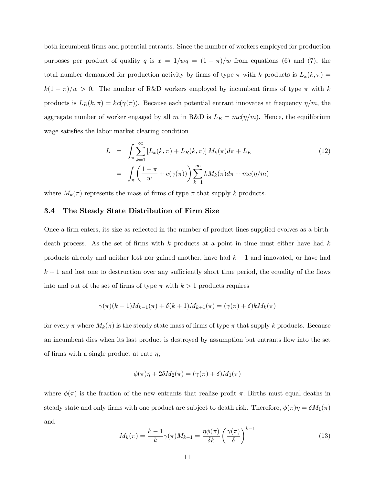both incumbent firms and potential entrants. Since the number of workers employed for production purposes per product of quality q is  $x = 1/wq = (1 - \pi)/w$  from equations (6) and (7), the total number demanded for production activity by firms of type  $\pi$  with k products is  $L_x(k, \pi) =$  $k(1 - \pi)/w > 0$ . The number of R&D workers employed by incumbent firms of type  $\pi$  with k products is  $L_R(k,\pi) = kc(\gamma(\pi))$ . Because each potential entrant innovates at frequency  $\eta/m$ , the aggregate number of worker engaged by all m in R&D is  $L_E = mc(\eta/m)$ . Hence, the equilibrium wage satisfies the labor market clearing condition

$$
L = \int_{\pi} \sum_{k=1}^{\infty} \left[ L_x(k,\pi) + L_R(k,\pi) \right] M_k(\pi) d\pi + L_E
$$
  

$$
= \int_{\pi} \left( \frac{1-\pi}{w} + c(\gamma(\pi)) \right) \sum_{k=1}^{\infty} k M_k(\pi) d\pi + mc(\eta/m)
$$
 (12)

where  $M_k(\pi)$  represents the mass of firms of type  $\pi$  that supply k products.

#### 3.4 The Steady State Distribution of Firm Size

Once a firm enters, its size as reflected in the number of product lines supplied evolves as a birthdeath process. As the set of firms with  $k$  products at a point in time must either have had  $k$ products already and neither lost nor gained another, have had  $k-1$  and innovated, or have had  $k+1$  and lost one to destruction over any sufficiently short time period, the equality of the flows into and out of the set of firms of type  $\pi$  with  $k > 1$  products requires

$$
\gamma(\pi)(k-1)M_{k-1}(\pi) + \delta(k+1)M_{k+1}(\pi) = (\gamma(\pi) + \delta)kM_k(\pi)
$$

for every  $\pi$  where  $M_k(\pi)$  is the steady state mass of firms of type  $\pi$  that supply k products. Because an incumbent dies when its last product is destroyed by assumption but entrants flow into the set of firms with a single product at rate  $\eta$ ,

$$
\phi(\pi)\eta + 2\delta M_2(\pi) = (\gamma(\pi) + \delta)M_1(\pi)
$$

where  $\phi(\pi)$  is the fraction of the new entrants that realize profit  $\pi$ . Births must equal deaths in steady state and only firms with one product are subject to death risk. Therefore,  $\phi(\pi)\eta = \delta M_1(\pi)$ and

$$
M_k(\pi) = \frac{k-1}{k} \gamma(\pi) M_{k-1} = \frac{\eta \phi(\pi)}{\delta k} \left(\frac{\gamma(\pi)}{\delta}\right)^{k-1}
$$
(13)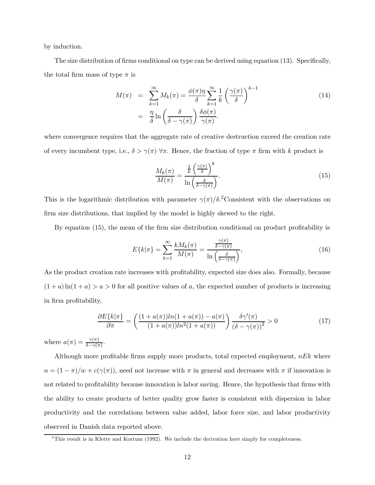by induction.

The size distribution of firms conditional on type can be derived using equation (13). Specifically, the total firm mass of type  $\pi$  is

$$
M(\pi) = \sum_{k=1}^{\infty} M_k(\pi) = \frac{\phi(\pi)\eta}{\delta} \sum_{k=1}^{\infty} \frac{1}{k} \left(\frac{\gamma(\pi)}{\delta}\right)^{k-1}
$$
  

$$
= \frac{\eta}{\delta} \ln \left(\frac{\delta}{\delta - \gamma(\pi)}\right) \frac{\delta \phi(\pi)}{\gamma(\pi)}.
$$
 (14)

where convergence requires that the aggregate rate of creative destruction exceed the creation rate of every incumbent type, i.e.,  $\delta > \gamma(\pi)$   $\forall \pi$ . Hence, the fraction of type  $\pi$  firm with k product is

$$
\frac{M_k(\pi)}{M(\pi)} = \frac{\frac{1}{k} \left(\frac{\gamma(\pi)}{\delta}\right)^k}{\ln\left(\frac{\delta}{\delta - \gamma(\pi)}\right)}.
$$
\n(15)

This is the logarithmic distribution with parameter  $\gamma(\pi)/\delta$ .<sup>2</sup>Consistent with the observations on firm size distributions, that implied by the model is highly skewed to the right.

By equation (15), the mean of the firm size distribution conditional on product profitability is

$$
E\{k|\pi\} = \sum_{k=1}^{\infty} \frac{k M_k(\pi)}{M(\pi)} = \frac{\frac{\gamma(\pi)}{\delta - \gamma(\pi)}}{\ln\left(\frac{\delta}{\delta - \gamma(\pi)}\right)},\tag{16}
$$

As the product creation rate increases with profitability, expected size does also. Formally, because  $(1 + a) \ln(1 + a) > a > 0$  for all positive values of a, the expected number of products is increasing in firm profitability,

$$
\frac{\partial E\{k|\pi\}}{\partial \pi} = \left(\frac{(1+a(\pi))\ln(1+a(\pi)) - a(\pi)}{(1+a(\pi))\ln^2(1+a(\pi))}\right) \frac{\delta \gamma'(\pi)}{(\delta - \gamma(\pi))^2} > 0
$$
\n(17)

where  $a(\pi) = \frac{\gamma(\pi)}{\delta - \gamma(\pi)}$ .

Although more profitable firms supply more products, total expected employment,  $nEk$  where  $n = (1 - \pi)/w + c(\gamma(\pi))$ , need not increase with  $\pi$  in general and decreases with  $\pi$  if innovation is not related to profitability because innovation is labor saving. Hence, the hypothesis that firms with the ability to create products of better quality grow faster is consistent with dispersion in labor productivity and the correlations between value added, labor force size, and labor productivity observed in Danish data reported above.

 $2$ This result is in Klette and Kortum (1992). We include the derivation here simply for completeness.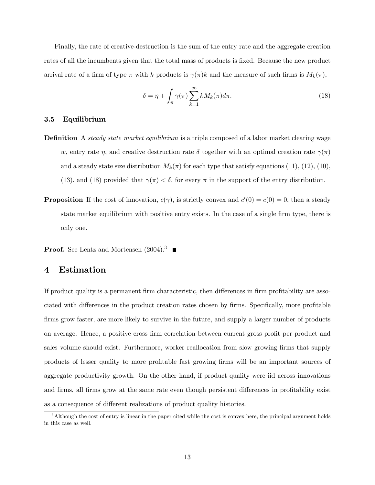Finally, the rate of creative-destruction is the sum of the entry rate and the aggregate creation rates of all the incumbents given that the total mass of products is fixed. Because the new product arrival rate of a firm of type  $\pi$  with k products is  $\gamma(\pi)k$  and the measure of such firms is  $M_k(\pi)$ ,

$$
\delta = \eta + \int_{\pi} \gamma(\pi) \sum_{k=1}^{\infty} k M_k(\pi) d\pi.
$$
 (18)

#### 3.5 Equilibrium

- **Definition** A steady state market equilibrium is a triple composed of a labor market clearing wage w, entry rate  $\eta$ , and creative destruction rate  $\delta$  together with an optimal creation rate  $\gamma(\pi)$ and a steady state size distribution  $M_k(\pi)$  for each type that satisfy equations (11), (12), (10), (13), and (18) provided that  $\gamma(\pi) < \delta$ , for every  $\pi$  in the support of the entry distribution.
- **Proposition** If the cost of innovation,  $c(\gamma)$ , is strictly convex and  $c'(0) = c(0) = 0$ , then a steady state market equilibrium with positive entry exists. In the case of a single firm type, there is only one.
- **Proof.** See Lentz and Mortensen  $(2004).$ <sup>3</sup>

### 4 Estimation

If product quality is a permanent firm characteristic, then differences in firm profitability are associated with differences in the product creation rates chosen by firms. Specifically, more profitable firms grow faster, are more likely to survive in the future, and supply a larger number of products on average. Hence, a positive cross firm correlation between current gross profit per product and sales volume should exist. Furthermore, worker reallocation from slow growing firms that supply products of lesser quality to more profitable fast growing firms will be an important sources of aggregate productivity growth. On the other hand, if product quality were iid across innovations and firms, all firms grow at the same rate even though persistent differences in profitability exist as a consequence of different realizations of product quality histories.

<sup>&</sup>lt;sup>3</sup>Although the cost of entry is linear in the paper cited while the cost is convex here, the principal argument holds in this case as well.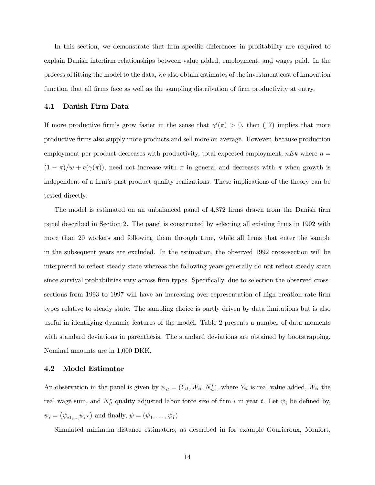In this section, we demonstrate that firm specific differences in profitability are required to explain Danish interfirm relationships between value added, employment, and wages paid. In the process of fitting the model to the data, we also obtain estimates of the investment cost of innovation function that all firms face as well as the sampling distribution of firm productivity at entry.

#### 4.1 Danish Firm Data

If more productive firm's grow faster in the sense that  $\gamma'(\pi) > 0$ , then (17) implies that more productive firms also supply more products and sell more on average. However, because production employment per product decreases with productivity, total expected employment,  $nEk$  where  $n =$  $(1 - \pi)/w + c(\gamma(\pi))$ , need not increase with  $\pi$  in general and decreases with  $\pi$  when growth is independent of a firm's past product quality realizations. These implications of the theory can be tested directly.

The model is estimated on an unbalanced panel of 4,872 firms drawn from the Danish firm panel described in Section 2. The panel is constructed by selecting all existing firms in 1992 with more than 20 workers and following them through time, while all firms that enter the sample in the subsequent years are excluded. In the estimation, the observed 1992 cross-section will be interpreted to reflect steady state whereas the following years generally do not reflect steady state since survival probabilities vary across firm types. Specifically, due to selection the observed crosssections from 1993 to 1997 will have an increasing over-representation of high creation rate firm types relative to steady state. The sampling choice is partly driven by data limitations but is also useful in identifying dynamic features of the model. Table 2 presents a number of data moments with standard deviations in parenthesis. The standard deviations are obtained by bootstrapping. Nominal amounts are in 1,000 DKK.

#### 4.2 Model Estimator

An observation in the panel is given by  $\psi_{it} = (Y_{it}, W_{it}, N_{it}^*)$ , where  $Y_{it}$  is real value added,  $W_{it}$  the real wage sum, and  $N_{it}^*$  quality adjusted labor force size of firm i in year t. Let  $\psi_i$  be defined by,  $\psi_i = (\psi_{i1,\dots,\psi_{iT}})$  and finally,  $\psi = (\psi_1, \dots, \psi_I)$ 

Simulated minimum distance estimators, as described in for example Gourieroux, Monfort,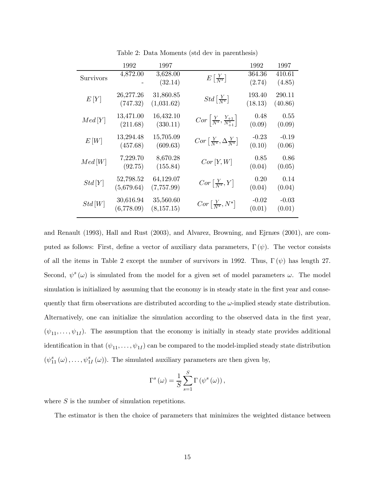|           | 1992                    | 1997                     |                                                          | 1992              | 1997              |
|-----------|-------------------------|--------------------------|----------------------------------------------------------|-------------------|-------------------|
| Survivors | 4,872.00                | 3,628.00<br>(32.14)      | $E\left[\frac{Y}{N^*}\right]$                            | 364.36<br>(2.74)  | 410.61<br>(4.85)  |
| E[Y]      | 26,277.26<br>(747.32)   | 31,860.85<br>(1,031.62)  | $Std\left[\frac{Y}{N^*}\right]$                          | 193.40<br>(18.13) | 290.11<br>(40.86) |
| Med[Y]    | 13,471.00<br>(211.68)   | 16,432.10<br>(330.11)    | $Cor\left \frac{Y}{N^*}, \frac{Y_{+1}}{N^*_{+1}}\right $ | 0.48<br>(0.09)    | 0.55<br>(0.09)    |
| E[W]      | 13,294.48<br>(457.68)   | 15,705.09<br>(609.63)    | $Cor\left[\frac{Y}{N^*}, \Delta \frac{Y}{N^*}\right]$    | $-0.23$<br>(0.10) | $-0.19$<br>(0.06) |
| Med[W]    | 7,229.70<br>(92.75)     | 8,670.28<br>(155.84)     | $Cor\left[ Y,W\right]$                                   | 0.85<br>(0.04)    | 0.86<br>(0.05)    |
| Std[Y]    | 52,798.52<br>(5,679.64) | 64,129.07<br>(7,757.99)  | $Cor\left[\frac{Y}{N^*}, Y\right]$                       | 0.20<br>(0.04)    | 0.14<br>(0.04)    |
| Std[W]    | 30,616.94<br>(6,778.09) | 35,560.60<br>(8, 157.15) | $Cor\left[\frac{Y}{N^*}, N^*\right]$                     | $-0.02$<br>(0.01) | $-0.03$<br>(0.01) |

Table 2: Data Moments (std dev in parenthesis)

and Renault (1993), Hall and Rust (2003), and Alvarez, Browning, and Ejrnæs (2001), are computed as follows: First, define a vector of auxiliary data parameters,  $\Gamma(\psi)$ . The vector consists of all the items in Table 2 except the number of survivors in 1992. Thus,  $\Gamma(\psi)$  has length 27. Second,  $\psi^s(\omega)$  is simulated from the model for a given set of model parameters  $\omega$ . The model simulation is initialized by assuming that the economy is in steady state in the first year and consequently that firm observations are distributed according to the  $\omega$ -implied steady state distribution. Alternatively, one can initialize the simulation according to the observed data in the first year,  $(\psi_{11},\ldots,\psi_{1I})$ . The assumption that the economy is initially in steady state provides additional identification in that  $(\psi_{11}, \ldots, \psi_{1I})$  can be compared to the model-implied steady state distribution  $(\psi_{11}^s(\omega), \ldots, \psi_{1I}^s(\omega))$ . The simulated auxiliary parameters are then given by,

$$
\Gamma^{s}(\omega) = \frac{1}{S} \sum_{s=1}^{S} \Gamma(\psi^{s}(\omega)),
$$

where  $S$  is the number of simulation repetitions.

The estimator is then the choice of parameters that minimizes the weighted distance between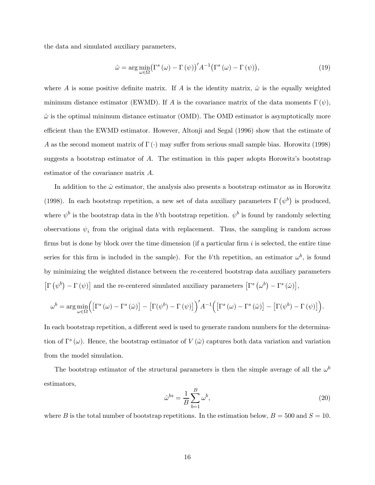the data and simulated auxiliary parameters,

$$
\hat{\omega} = \arg\min_{\omega \in \Omega} \left( \Gamma^s \left( \omega \right) - \Gamma \left( \psi \right) \right)' A^{-1} \left( \Gamma^s \left( \omega \right) - \Gamma \left( \psi \right) \right),\tag{19}
$$

where A is some positive definite matrix. If A is the identity matrix,  $\hat{\omega}$  is the equally weighted minimum distance estimator (EWMD). If A is the covariance matrix of the data moments  $\Gamma(\psi)$ ,  $\hat{\omega}$  is the optimal minimum distance estimator (OMD). The OMD estimator is asymptotically more efficient than the EWMD estimator. However, Altonji and Segal (1996) show that the estimate of A as the second moment matrix of  $\Gamma(\cdot)$  may suffer from serious small sample bias. Horowitz (1998) suggests a bootstrap estimator of A. The estimation in this paper adopts Horowitz's bootstrap estimator of the covariance matrix A.

In addition to the  $\hat{\omega}$  estimator, the analysis also presents a bootstrap estimator as in Horowitz (1998). In each bootstrap repetition, a new set of data auxiliary parameters  $\Gamma(\psi^b)$  is produced, where  $\psi^b$  is the bootstrap data in the b'th bootstrap repetition.  $\psi^b$  is found by randomly selecting observations  $\psi_i$  from the original data with replacement. Thus, the sampling is random across firms but is done by block over the time dimension (if a particular firm  $i$  is selected, the entire time series for this firm is included in the sample). For the b'th repetition, an estimator  $\omega^b$ , is found by minimizing the weighted distance between the re-centered bootstrap data auxiliary parameters  $\left[\Gamma\left(\psi^b\right) - \Gamma\left(\psi\right)\right]$  and the re-centered simulated auxiliary parameters  $\left[\Gamma^s\left(\omega^b\right) - \Gamma^s\left(\hat{\omega}\right)\right],$ 

$$
\omega^{b} = \arg \min_{\omega \in \Omega} \Big( \big[ \Gamma^{s}(\omega) - \Gamma^{s}(\hat{\omega}) \big] - \big[ \Gamma(\psi^{b}) - \Gamma(\psi) \big] \Big)^{'} A^{-1} \Big( \big[ \Gamma^{s}(\omega) - \Gamma^{s}(\hat{\omega}) \big] - \big[ \Gamma(\psi^{b}) - \Gamma(\psi) \big] \Big).
$$

In each bootstrap repetition, a different seed is used to generate random numbers for the determination of  $\Gamma^s(\omega)$ . Hence, the bootstrap estimator of  $V(\hat{\omega})$  captures both data variation and variation from the model simulation.

The bootstrap estimator of the structural parameters is then the simple average of all the  $\omega^b$ estimators,

$$
\hat{\omega}^{bs} = \frac{1}{B} \sum_{b=1}^{B} \omega^b,\tag{20}
$$

where B is the total number of bootstrap repetitions. In the estimation below,  $B = 500$  and  $S = 10$ .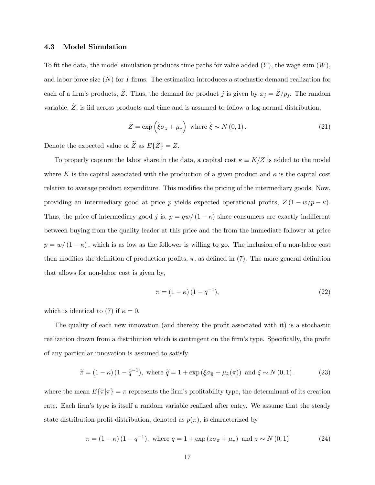#### 4.3 Model Simulation

To fit the data, the model simulation produces time paths for value added  $(Y)$ , the wage sum  $(W)$ , and labor force size  $(N)$  for I firms. The estimation introduces a stochastic demand realization for each of a firm's products,  $\tilde{Z}$ . Thus, the demand for product j is given by  $x_j = \tilde{Z}/p_j$ . The random variable,  $\tilde{Z}$ , is iid across products and time and is assumed to follow a log-normal distribution,

$$
\tilde{Z} = \exp\left(\tilde{\xi}\sigma_z + \mu_z\right) \text{ where } \tilde{\xi} \sim N(0, 1). \tag{21}
$$

Denote the expected value of  $\widetilde{Z}$  as  $E{\{\widetilde{Z}\}} = Z$ .

To properly capture the labor share in the data, a capital cost  $\kappa \equiv K/Z$  is added to the model where K is the capital associated with the production of a given product and  $\kappa$  is the capital cost relative to average product expenditure. This modifies the pricing of the intermediary goods. Now, providing an intermediary good at price p yields expected operational profits,  $Z(1 - w/p - \kappa)$ . Thus, the price of intermediary good j is,  $p = qw/(1 - \kappa)$  since consumers are exactly indifferent between buying from the quality leader at this price and the from the immediate follower at price  $p = w/(1 - \kappa)$ , which is as low as the follower is willing to go. The inclusion of a non-labor cost then modifies the definition of production profits,  $\pi$ , as defined in (7). The more general definition that allows for non-labor cost is given by,

$$
\pi = (1 - \kappa) (1 - q^{-1}), \tag{22}
$$

which is identical to (7) if  $\kappa = 0$ .

The quality of each new innovation (and thereby the profit associated with it) is a stochastic realization drawn from a distribution which is contingent on the firm's type. Specifically, the profit of any particular innovation is assumed to satisfy

$$
\widetilde{\pi} = (1 - \kappa) (1 - \widetilde{q}^{-1}), \text{ where } \widetilde{q} = 1 + \exp \left( \xi \sigma_{\widetilde{\pi}} + \mu_{\widetilde{\pi}}(\pi) \right) \text{ and } \xi \sim N(0, 1). \tag{23}
$$

where the mean  $E\{\tilde{\pi}|\pi\} = \pi$  represents the firm's profitability type, the determinant of its creation rate. Each firm's type is itself a random variable realized after entry. We assume that the steady state distribution profit distribution, denoted as  $p(\pi)$ , is characterized by

$$
\pi = (1 - \kappa) (1 - q^{-1}), \text{ where } q = 1 + \exp(z\sigma_{\pi} + \mu_{\pi}) \text{ and } z \sim N(0, 1)
$$
 (24)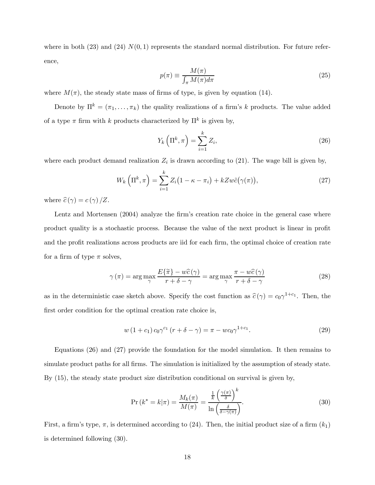where in both (23) and (24)  $N(0, 1)$  represents the standard normal distribution. For future reference,

$$
p(\pi) \equiv \frac{M(\pi)}{\int_{\pi} M(\pi) d\pi} \tag{25}
$$

where  $M(\pi)$ , the steady state mass of firms of type, is given by equation (14).

Denote by  $\Pi^k = (\pi_1, \ldots, \pi_k)$  the quality realizations of a firm's k products. The value added of a type  $\pi$  firm with k products characterized by  $\Pi^k$  is given by,

$$
Y_k\left(\Pi^k, \pi\right) = \sum_{i=1}^k Z_i,\tag{26}
$$

where each product demand realization  $Z_i$  is drawn according to (21). The wage bill is given by,

$$
W_k\left(\Pi^k,\pi\right) = \sum_{i=1}^k Z_i\big(1-\kappa-\pi_i\big) + kZw\tilde{c}\big(\gamma(\pi)\big),\tag{27}
$$

where  $\widehat{c}(\gamma) = c(\gamma) / Z$ .

Lentz and Mortensen (2004) analyze the firm's creation rate choice in the general case where product quality is a stochastic process. Because the value of the next product is linear in profit and the profit realizations across products are iid for each firm, the optimal choice of creation rate for a firm of type  $\pi$  solves,

$$
\gamma(\pi) = \arg\max_{\gamma} \frac{E\{\tilde{\pi}\} - w\hat{c}(\gamma)}{r + \delta - \gamma} = \arg\max_{\gamma} \frac{\pi - w\hat{c}(\gamma)}{r + \delta - \gamma}
$$
(28)

as in the deterministic case sketch above. Specify the cost function as  $\hat{c}(\gamma) = c_0 \gamma^{1+c_1}$ . Then, the first order condition for the optimal creation rate choice is,

$$
w (1 + c_1) c_0 \gamma^{c_1} (r + \delta - \gamma) = \pi - w c_0 \gamma^{1 + c_1}.
$$
 (29)

Equations (26) and (27) provide the foundation for the model simulation. It then remains to simulate product paths for all firms. The simulation is initialized by the assumption of steady state. By (15), the steady state product size distribution conditional on survival is given by,

$$
\Pr\left(k^* = k|\pi\right) = \frac{M_k(\pi)}{M(\pi)} = \frac{\frac{1}{k} \left(\frac{\gamma(\pi)}{\delta}\right)^k}{\ln\left(\frac{\delta}{\delta - \gamma(\pi)}\right)}.\tag{30}
$$

First, a firm's type,  $\pi$ , is determined according to (24). Then, the initial product size of a firm  $(k_1)$ is determined following (30).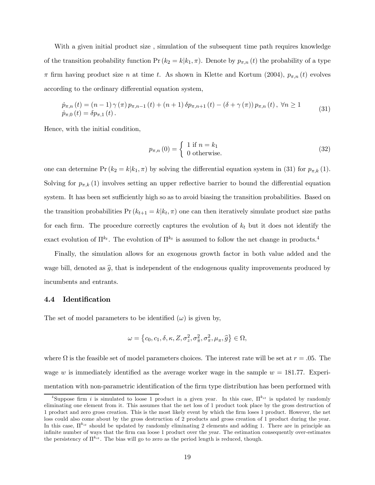With a given initial product size , simulation of the subsequent time path requires knowledge of the transition probability function  $Pr(k_2 = k|k_1, \pi)$ . Denote by  $p_{\pi,n}(t)$  the probability of a type  $\pi$  firm having product size n at time t. As shown in Klette and Kortum (2004),  $p_{\pi,n}(t)$  evolves according to the ordinary differential equation system,

$$
\dot{p}_{\pi,n}(t) = (n-1)\gamma(\pi)p_{\pi,n-1}(t) + (n+1)\delta p_{\pi,n+1}(t) - (\delta + \gamma(\pi))p_{\pi,n}(t), \ \forall n \ge 1
$$
\n
$$
\dot{p}_{\pi,0}(t) = \delta p_{\pi,1}(t).
$$
\n(31)

Hence, with the initial condition,

$$
p_{\pi,n}(0) = \begin{cases} 1 \text{ if } n = k_1 \\ 0 \text{ otherwise.} \end{cases}
$$
 (32)

one can determine Pr  $(k_2 = k | k_1, \pi)$  by solving the differential equation system in (31) for  $p_{\pi,k}$  (1). Solving for  $p_{\pi,k}(1)$  involves setting an upper reflective barrier to bound the differential equation system. It has been set sufficiently high so as to avoid biasing the transition probabilities. Based on the transition probabilities  $Pr(k_{t+1} = k | k_t, \pi)$  one can then iteratively simulate product size paths for each firm. The procedure correctly captures the evolution of  $k_t$  but it does not identify the exact evolution of  $\Pi^{k_t}$ . The evolution of  $\Pi^{k_t}$  is assumed to follow the net change in products.<sup>4</sup>

Finally, the simulation allows for an exogenous growth factor in both value added and the wage bill, denoted as  $\hat{g}$ , that is independent of the endogenous quality improvements produced by incumbents and entrants.

#### 4.4 Identification

The set of model parameters to be identified  $(\omega)$  is given by,

$$
\omega = \left\{c_0, c_1, \delta, \kappa, Z, \sigma_z^2, \sigma_{\overline{\pi}}^2, \sigma_{\pi}^2, \mu_{\pi}, \widehat{g}\right\} \in \Omega,
$$

where  $\Omega$  is the feasible set of model parameters choices. The interest rate will be set at  $r = .05$ . The wage w is immediately identified as the average worker wage in the sample  $w = 181.77$ . Experimentation with non-parametric identification of the firm type distribution has been performed with

<sup>&</sup>lt;sup>4</sup>Suppose firm i is simulated to loose 1 product in a given year. In this case,  $\Pi^{k}$  is updated by randomly eliminating one element from it. This assumes that the net loss of 1 product took place by the gross destruction of 1 product and zero gross creation. This is the most likely event by which the firm loses 1 product. However, the net loss could also come about by the gross destruction of 2 products and gross creation of 1 product during the year. In this case,  $\Pi^{k_{it}}$  should be updated by randomly eliminating 2 elements and adding 1. There are in principle an infinite number of ways that the firm can loose 1 product over the year. The estimation consequently over-estimates the persistency of  $\Pi^{ki}$ . The bias will go to zero as the period length is reduced, though.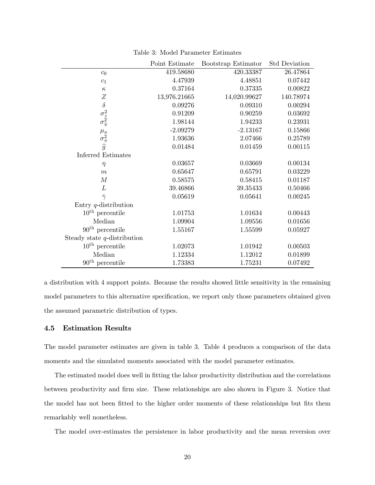|                                                     | Point Estimate | Bootstrap Estimator | <b>Std Deviation</b> |
|-----------------------------------------------------|----------------|---------------------|----------------------|
| $c_0$                                               | 419.58680      | 420.33387           | 26.47864             |
| $\mathfrak{c}_1$                                    | 4.47939        | 4.48851             | 0.07442              |
| $\kappa$                                            | 0.37164        | 0.37335             | 0.00822              |
| Ζ                                                   | 13,976.21665   | 14,020.99627        | 140.78974            |
| $\delta$                                            | 0.09276        | 0.09310             | 0.00294              |
|                                                     | 0.91209        | 0.90259             | 0.03692              |
| $\sigma_{\tilde z}^2 \\ \sigma_{\tilde \pi}^2$      | 1.98144        | 1.94233             | 0.23931              |
|                                                     | $-2.09279$     | $-2.13167$          | 0.15866              |
| $\mu_{\pi} \over \sigma_{\pi}^2 \over \widehat{g}}$ | 1.93636        | 2.07466             | 0.25789              |
|                                                     | 0.01484        | 0.01459             | 0.00115              |
| <b>Inferred Estimates</b>                           |                |                     |                      |
| $\eta$                                              | 0.03657        | 0.03669             | 0.00134              |
| m                                                   | 0.65647        | 0.65791             | 0.03229              |
| $\boldsymbol{M}$                                    | 0.58575        | 0.58415             | 0.01187              |
| L                                                   | 39.46866       | 39.35433            | 0.50466              |
| $\bar{\gamma}$                                      | 0.05619        | 0.05641             | 0.00245              |
| Entry $q$ -distribution                             |                |                     |                      |
| $10^{\text{th}}$ percentile                         | 1.01753        | 1.01634             | 0.00443              |
| Median                                              | 1.09904        | 1.09556             | 0.01656              |
| $90th$ percentile                                   | 1.55167        | 1.55599             | 0.05927              |
| Steady state $q$ -distribution                      |                |                     |                      |
| $10^{\text{th}}$ percentile                         | 1.02073        | 1.01942             | 0.00503              |
| Median                                              | 1.12334        | 1.12012             | 0.01899              |
| $90th$ percentile                                   | 1.73383        | 1.75231             | 0.07492              |

Table 3: Model Parameter Estimates

a distribution with 4 support points. Because the results showed little sensitivity in the remaining model parameters to this alternative specification, we report only those parameters obtained given the assumed parametric distribution of types.

#### 4.5 Estimation Results

The model parameter estimates are given in table 3. Table 4 produces a comparison of the data moments and the simulated moments associated with the model parameter estimates.

The estimated model does well in fitting the labor productivity distribution and the correlations between productivity and firm size. These relationships are also shown in Figure 3. Notice that the model has not been fitted to the higher order moments of these relationships but fits them remarkably well nonetheless.

The model over-estimates the persistence in labor productivity and the mean reversion over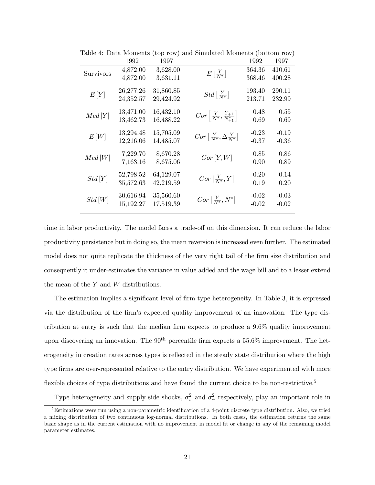| 1992      | 1997      |          | 1992                                                                                                                                                                                                                                                                                         | 1997    |
|-----------|-----------|----------|----------------------------------------------------------------------------------------------------------------------------------------------------------------------------------------------------------------------------------------------------------------------------------------------|---------|
| 4,872.00  | 3,628.00  |          | 364.36                                                                                                                                                                                                                                                                                       | 410.61  |
|           |           |          |                                                                                                                                                                                                                                                                                              | 400.28  |
| 26,277.26 | 31,860.85 |          | 193.40                                                                                                                                                                                                                                                                                       | 290.11  |
| 24,352.57 | 29,424.92 |          | 213.71                                                                                                                                                                                                                                                                                       | 232.99  |
| 13,471.00 | 16,432.10 |          | 0.48                                                                                                                                                                                                                                                                                         | 0.55    |
| 13,462.73 | 16,488.22 |          | 0.69                                                                                                                                                                                                                                                                                         | 0.69    |
| 13,294.48 | 15,705.09 |          | $-0.23$                                                                                                                                                                                                                                                                                      | $-0.19$ |
| 12,216.06 | 14,485.07 |          | $-0.37$                                                                                                                                                                                                                                                                                      | $-0.36$ |
| 7,229.70  | 8,670.28  |          | 0.85                                                                                                                                                                                                                                                                                         | 0.86    |
| 7,163.16  | 8,675.06  |          | 0.90                                                                                                                                                                                                                                                                                         | 0.89    |
| 52,798.52 | 64,129.07 |          | 0.20                                                                                                                                                                                                                                                                                         | 0.14    |
| 35,572.63 | 42,219.59 |          | 0.19                                                                                                                                                                                                                                                                                         | 0.20    |
| 30,616.94 | 35,560.60 |          | $-0.02$                                                                                                                                                                                                                                                                                      | $-0.03$ |
| 15,192.27 | 17,519.39 |          | $-0.02$                                                                                                                                                                                                                                                                                      | $-0.02$ |
|           | 4,872.00  | 3,631.11 | $E\left[\frac{Y}{N^*}\right]$<br>$Std\left[\frac{Y}{N^*}\right]$<br>$Cor\left[\frac{Y}{N^*}, \frac{Y_{+1}}{N^*_{+1}}\right]$<br>$Cor\left[\frac{Y}{N^*}, \Delta \frac{Y}{N^*}\right]$<br>Cor <sub>[Y, W]</sub><br>$Cor\left[\frac{Y}{N^*}, Y\right]$<br>$Cor\left[\frac{Y}{N^*}, N^*\right]$ | 368.46  |

Table 4: Data Moments (top row) and Simulated Moments (bottom row)

time in labor productivity. The model faces a trade-off on this dimension. It can reduce the labor productivity persistence but in doing so, the mean reversion is increased even further. The estimated model does not quite replicate the thickness of the very right tail of the firm size distribution and consequently it under-estimates the variance in value added and the wage bill and to a lesser extend the mean of the Y and W distributions.

The estimation implies a significant level of firm type heterogeneity. In Table 3, it is expressed via the distribution of the firm's expected quality improvement of an innovation. The type distribution at entry is such that the median firm expects to produce a 9.6% quality improvement upon discovering an innovation. The  $90<sup>th</sup>$  percentile firm expects a 55.6% improvement. The heterogeneity in creation rates across types is reflected in the steady state distribution where the high type firms are over-represented relative to the entry distribution. We have experimented with more flexible choices of type distributions and have found the current choice to be non-restrictive.<sup>5</sup>

Type heterogeneity and supply side shocks,  $\sigma_{\pi}^2$  and  $\sigma_{\tilde{\pi}}^2$  respectively, play an important role in

<sup>&</sup>lt;sup>5</sup>Estimations were run using a non-parametric identification of a 4-point discrete type distribution. Also, we tried a mixing distribution of two continuous log-normal distributions. In both cases, the estimation returns the same basic shape as in the current estimation with no improvement in model fit or change in any of the remaining model parameter estimates.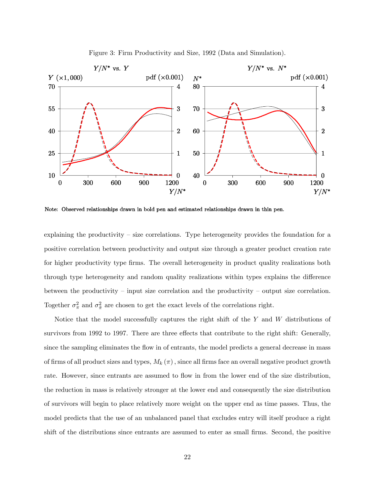

Figure 3: Firm Productivity and Size, 1992 (Data and Simulation).

Note: Observed relationships drawn in bold pen and estimated relationships drawn in thin pen.

explaining the productivity  $-$  size correlations. Type heterogeneity provides the foundation for a positive correlation between productivity and output size through a greater product creation rate for higher productivity type firms. The overall heterogeneity in product quality realizations both through type heterogeneity and random quality realizations within types explains the difference between the productivity — input size correlation and the productivity — output size correlation. Together  $\sigma_{\pi}^2$  and  $\sigma_{\tilde{\pi}}^2$  are chosen to get the exact levels of the correlations right.

Notice that the model successfully captures the right shift of the Y and W distributions of survivors from 1992 to 1997. There are three effects that contribute to the right shift: Generally, since the sampling eliminates the flow in of entrants, the model predicts a general decrease in mass of firms of all product sizes and types,  $M_k(\pi)$ , since all firms face an overall negative product growth rate. However, since entrants are assumed to flow in from the lower end of the size distribution, the reduction in mass is relatively stronger at the lower end and consequently the size distribution of survivors will begin to place relatively more weight on the upper end as time passes. Thus, the model predicts that the use of an unbalanced panel that excludes entry will itself produce a right shift of the distributions since entrants are assumed to enter as small firms. Second, the positive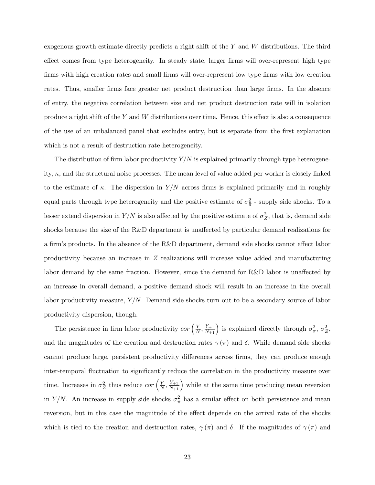exogenous growth estimate directly predicts a right shift of the  $Y$  and  $W$  distributions. The third effect comes from type heterogeneity. In steady state, larger firms will over-represent high type firms with high creation rates and small firms will over-represent low type firms with low creation rates. Thus, smaller firms face greater net product destruction than large firms. In the absence of entry, the negative correlation between size and net product destruction rate will in isolation produce a right shift of the  $Y$  and  $W$  distributions over time. Hence, this effect is also a consequence of the use of an unbalanced panel that excludes entry, but is separate from the first explanation which is not a result of destruction rate heterogeneity.

The distribution of firm labor productivity  $Y/N$  is explained primarily through type heterogeneity,  $\kappa$ , and the structural noise processes. The mean level of value added per worker is closely linked to the estimate of  $\kappa$ . The dispersion in  $Y/N$  across firms is explained primarily and in roughly equal parts through type heterogeneity and the positive estimate of  $\sigma_{\tilde{\pi}}^2$  - supply side shocks. To a lesser extend dispersion in  $Y/N$  is also affected by the positive estimate of  $\sigma_Z^2$ , that is, demand side shocks because the size of the R&D department is unaffected by particular demand realizations for a firm's products. In the absence of the R&D department, demand side shocks cannot affect labor productivity because an increase in Z realizations will increase value added and manufacturing labor demand by the same fraction. However, since the demand for R&D labor is unaffected by an increase in overall demand, a positive demand shock will result in an increase in the overall labor productivity measure,  $Y/N$ . Demand side shocks turn out to be a secondary source of labor productivity dispersion, though.

The persistence in firm labor productivity  $cor\left(\frac{Y}{N}, \frac{Y_{+1}}{N_{+1}}\right)$  is explained directly through  $\sigma_{\pi}^2$ ,  $\sigma_Z^2$ , and the magnitudes of the creation and destruction rates  $\gamma(\pi)$  and  $\delta$ . While demand side shocks cannot produce large, persistent productivity differences across firms, they can produce enough inter-temporal fluctuation to significantly reduce the correlation in the productivity measure over time. Increases in  $\sigma_Z^2$  thus reduce  $cor\left(\frac{Y}{N}, \frac{Y_{+1}}{N_{+1}}\right)$  while at the same time producing mean reversion in Y/N. An increase in supply side shocks  $\sigma_{\tilde{\pi}}^2$  has a similar effect on both persistence and mean reversion, but in this case the magnitude of the effect depends on the arrival rate of the shocks which is tied to the creation and destruction rates,  $\gamma(\pi)$  and  $\delta$ . If the magnitudes of  $\gamma(\pi)$  and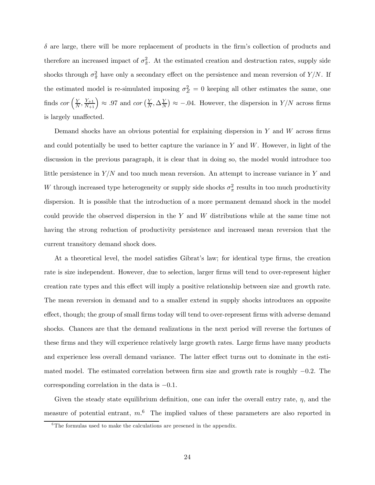$\delta$  are large, there will be more replacement of products in the firm's collection of products and therefore an increased impact of  $\sigma_{\tilde{\pi}}^2$ . At the estimated creation and destruction rates, supply side shocks through  $\sigma_{\tilde{\pi}}^2$  have only a secondary effect on the persistence and mean reversion of  $Y/N$ . If the estimated model is re-simulated imposing  $\sigma_Z^2 = 0$  keeping all other estimates the same, one finds  $cor\left(\frac{Y}{N}, \frac{Y_{+1}}{N_{+1}}\right) \approx .97$  and  $cor\left(\frac{Y}{N}, \Delta\frac{Y}{N}\right) \approx -.04$ . However, the dispersion in  $Y/N$  across firms is largely unaffected.

Demand shocks have an obvious potential for explaining dispersion in  $Y$  and  $W$  across firms and could potentially be used to better capture the variance in  $Y$  and  $W$ . However, in light of the discussion in the previous paragraph, it is clear that in doing so, the model would introduce too little persistence in  $Y/N$  and too much mean reversion. An attempt to increase variance in Y and W through increased type heterogeneity or supply side shocks  $\sigma_{\pi}^2$  results in too much productivity dispersion. It is possible that the introduction of a more permanent demand shock in the model could provide the observed dispersion in the Y and W distributions while at the same time not having the strong reduction of productivity persistence and increased mean reversion that the current transitory demand shock does.

At a theoretical level, the model satisfies Gibrat's law; for identical type firms, the creation rate is size independent. However, due to selection, larger firms will tend to over-represent higher creation rate types and this effect will imply a positive relationship between size and growth rate. The mean reversion in demand and to a smaller extend in supply shocks introduces an opposite effect, though; the group of small firms today will tend to over-represent firms with adverse demand shocks. Chances are that the demand realizations in the next period will reverse the fortunes of these firms and they will experience relatively large growth rates. Large firms have many products and experience less overall demand variance. The latter effect turns out to dominate in the estimated model. The estimated correlation between firm size and growth rate is roughly −0.2. The corresponding correlation in the data is −0.1.

Given the steady state equilibrium definition, one can infer the overall entry rate,  $\eta$ , and the measure of potential entrant,  $m<sup>6</sup>$ . The implied values of these parameters are also reported in

 ${}^{6}$ The formulas used to make the calculations are presened in the appendix.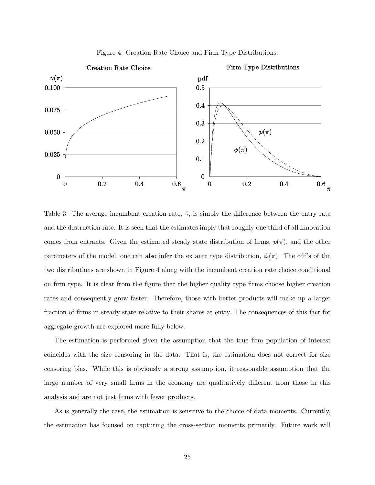

Figure 4: Creation Rate Choice and Firm Type Distributions.

Table 3. The average incumbent creation rate,  $\bar{\gamma}$ , is simply the difference between the entry rate and the destruction rate. It is seen that the estimates imply that roughly one third of all innovation comes from entrants. Given the estimated steady state distribution of firms,  $p(\pi)$ , and the other parameters of the model, one can also infer the ex ante type distribution,  $\phi(\pi)$ . The cdf's of the two distributions are shown in Figure 4 along with the incumbent creation rate choice conditional on firm type. It is clear from the figure that the higher quality type firms choose higher creation rates and consequently grow faster. Therefore, those with better products will make up a larger fraction of firms in steady state relative to their shares at entry. The consequences of this fact for aggregate growth are explored more fully below.

The estimation is performed given the assumption that the true firm population of interest coincides with the size censoring in the data. That is, the estimation does not correct for size censoring bias. While this is obviously a strong assumption, it reasonable assumption that the large number of very small firms in the economy are qualitatively different from those in this analysis and are not just firms with fewer products.

As is generally the case, the estimation is sensitive to the choice of data moments. Currently, the estimation has focused on capturing the cross-section moments primarily. Future work will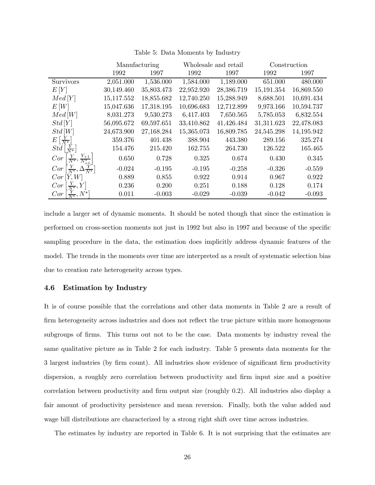|                                                      |            | Manufacturing | Wholesale and retail |            |            | Construction |
|------------------------------------------------------|------------|---------------|----------------------|------------|------------|--------------|
|                                                      | 1992       | 1997          | 1992                 | 1997       | 1992       | 1997         |
| Survivors                                            | 2,051.000  | 1,536.000     | 1,584.000            | 1,189.000  | 651.000    | 480.000      |
| E[Y]                                                 | 30,149.460 | 35,803.473    | 22,952.920           | 28,386.719 | 15,191.354 | 16,869.550   |
| Med[Y]                                               | 15,117.552 | 18,855.682    | 12,740.250           | 15,288.949 | 8,688.501  | 10,691.434   |
| E[W]                                                 | 15,047.636 | 17,318.195    | 10,696.683           | 12,712.899 | 9,973.166  | 10,594.737   |
| Med[W]                                               | 8,031.273  | 9,530.273     | 6,417.403            | 7,650.565  | 5,785.053  | 6,832.554    |
| Std[Y]                                               | 56,095.672 | 69,597.651    | 33,410.862           | 41,426.484 | 31,311.623 | 22,478.083   |
| Std[W]                                               | 24,673.900 | 27,168.284    | 15,365.073           | 16,809.785 | 24,545.298 | 14,195.942   |
| $E\left[\frac{Y}{N^*}\right]$                        | 359.376    | 401.438       | 388.904              | 443.380    | 289.156    | 325.274      |
| $Std\left[\frac{Y}{N^*}\right]$                      | 154.476    | 215.420       | 162.755              | 264.730    | 126.522    | 165.465      |
| $\frac{Y_{+1}}{N_{+1}^*}$<br>$\frac{Y}{N^*},$<br>Cor | 0.650      | 0.728         | 0.325                | 0.674      | 0.430      | 0.345        |
| $Cor\left[\frac{Y}{N^*},\Delta\frac{Y}{N^*}\right]$  | $-0.024$   | $-0.195$      | $-0.195$             | $-0.258$   | $-0.326$   | $-0.559$     |
| Cor[Y, W]                                            | 0.889      | 0.855         | 0.922                | 0.914      | 0.967      | 0.922        |
| $Cor\left[\frac{Y}{N^*}, Y\right]$                   | 0.236      | 0.200         | 0.251                | 0.188      | 0.128      | 0.174        |
| $\frac{Y}{N^*}, N^*$<br>$Cor \mid$                   | 0.011      | $-0.003$      | $-0.029$             | $-0.039$   | $-0.042$   | $-0.093$     |

Table 5: Data Moments by Industry

include a larger set of dynamic moments. It should be noted though that since the estimation is performed on cross-section moments not just in 1992 but also in 1997 and because of the specific sampling procedure in the data, the estimation does implicitly address dynamic features of the model. The trends in the moments over time are interpreted as a result of systematic selection bias due to creation rate heterogeneity across types.

#### 4.6 Estimation by Industry

It is of course possible that the correlations and other data moments in Table 2 are a result of firm heterogeneity across industries and does not reflect the true picture within more homogenous subgroups of firms. This turns out not to be the case. Data moments by industry reveal the same qualitative picture as in Table 2 for each industry. Table 5 presents data moments for the 3 largest industries (by firm count). All industries show evidence of significant firm productivity dispersion, a roughly zero correlation between productivity and firm input size and a positive correlation between productivity and firm output size (roughly 0.2). All industries also display a fair amount of productivity persistence and mean reversion. Finally, both the value added and wage bill distributions are characterized by a strong right shift over time across industries.

The estimates by industry are reported in Table 6. It is not surprising that the estimates are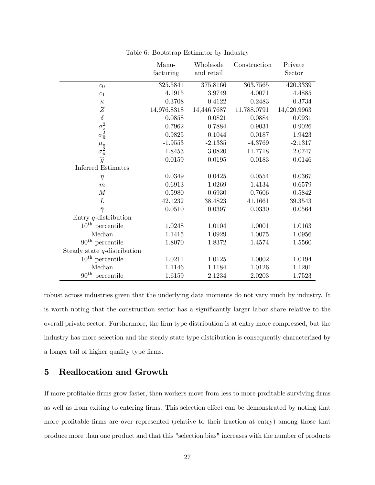|                                                    | Manu-       | Wholesale   | Construction | Private     |
|----------------------------------------------------|-------------|-------------|--------------|-------------|
|                                                    | facturing   | and retail  |              | Sector      |
| c <sub>0</sub>                                     | 325.5841    | 375.8166    | 363.7565     | 420.3339    |
| $\mathfrak{c}_1$                                   | 4.1915      | 3.9749      | 4.0071       | 4.4885      |
| $\kappa$                                           | 0.3708      | 0.4122      | 0.2483       | 0.3734      |
| $\boldsymbol{Z}$                                   | 14,976.8318 | 14,446.7687 | 11,788.0791  | 14,020.9963 |
| $\delta$                                           | 0.0858      | 0.0821      | 0.0884       | 0.0931      |
|                                                    | 0.7962      | 0.7884      | 0.9031       | 0.9026      |
| $\sigma_{z}^{2} \\ \sigma_{\widetilde{\pi}}^{2}$   | 0.9825      | 0.1044      | 0.0187       | 1.9423      |
|                                                    | $-1.9553$   | $-2.1335$   | $-4.3769$    | $-2.1317$   |
|                                                    | 1.8453      | 3.0820      | 11.7718      | 2.0747      |
| $\mu_{\pi} \over \sigma_{\pi}^2 \over \widehat{g}$ | 0.0159      | 0.0195      | 0.0183       | 0.0146      |
| <b>Inferred Estimates</b>                          |             |             |              |             |
| $\eta$                                             | 0.0349      | 0.0425      | 0.0554       | 0.0367      |
| $\boldsymbol{m}$                                   | 0.6913      | 1.0269      | 1.4134       | 0.6579      |
| $\boldsymbol{M}$                                   | 0.5980      | 0.6930      | 0.7606       | 0.5842      |
| L                                                  | 42.1232     | 38.4823     | 41.1661      | 39.3543     |
| $\bar{\gamma}$                                     | 0.0510      | 0.0397      | 0.0330       | 0.0564      |
| Entry $q$ -distribution                            |             |             |              |             |
| $10^{\text{th}}$ percentile                        | 1.0248      | 1.0104      | 1.0001       | 1.0163      |
| Median                                             | 1.1415      | 1.0929      | 1.0075       | 1.0956      |
| $90th$ percentile                                  | 1.8070      | 1.8372      | 1.4574       | 1.5560      |
| Steady state $q$ -distribution                     |             |             |              |             |
| $10^{\text{th}}$ percentile                        | 1.0211      | 1.0125      | 1.0002       | 1.0194      |
| Median                                             | 1.1146      | 1.1184      | 1.0126       | 1.1201      |
| $90th$ percentile                                  | 1.6159      | 2.1234      | 2.0203       | 1.7523      |

Table 6: Bootstrap Estimator by Industry

robust across industries given that the underlying data moments do not vary much by industry. It is worth noting that the construction sector has a significantly larger labor share relative to the overall private sector. Furthermore, the firm type distribution is at entry more compressed, but the industry has more selection and the steady state type distribution is consequently characterized by a longer tail of higher quality type firms.

# 5 Reallocation and Growth

If more profitable firms grow faster, then workers move from less to more profitable surviving firms as well as from exiting to entering firms. This selection effect can be demonstrated by noting that more profitable firms are over represented (relative to their fraction at entry) among those that produce more than one product and that this "selection bias" increases with the number of products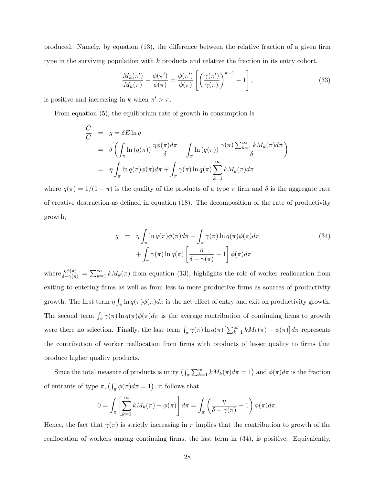produced. Namely, by equation (13), the difference between the relative fraction of a given firm type in the surviving population with k products and relative the fraction in its entry cohort,

$$
\frac{M_k(\pi')}{M_k(\pi)} - \frac{\phi(\pi')}{\phi(\pi)} = \frac{\phi(\pi')}{\phi(\pi)} \left[ \left( \frac{\gamma(\pi')}{\gamma(\pi)} \right)^{k-1} - 1 \right],\tag{33}
$$

is positive and increasing in k when  $\pi' > \pi$ .

From equation (5), the equilibrium rate of growth in consumption is

$$
\frac{\dot{C}}{C} = g = \delta E \ln q
$$
\n
$$
= \delta \left( \int_{\pi} \ln (q(\pi)) \frac{\eta \phi(\pi) d\pi}{\delta} + \int_{\pi} \ln (q(\pi)) \frac{\gamma(\pi) \sum_{k=1}^{\infty} k M_k(\pi) d\pi}{\delta} \right)
$$
\n
$$
= \eta \int_{\pi} \ln q(\pi) \phi(\pi) d\pi + \int_{\pi} \gamma(\pi) \ln q(\pi) \sum_{k=1}^{\infty} k M_k(\pi) d\pi
$$

where  $q(\pi)=1/(1 - \pi)$  is the quality of the products of a type  $\pi$  firm and  $\delta$  is the aggregate rate of creative destruction as defined in equation (18). The decomposition of the rate of productivity growth,

$$
g = \eta \int_{\pi} \ln q(\pi) \phi(\pi) d\pi + \int_{\pi} \gamma(\pi) \ln q(\pi) \phi(\pi) d\pi
$$
  
+ 
$$
\int_{\pi} \gamma(\pi) \ln q(\pi) \left[ \frac{\eta}{\delta - \gamma(\pi)} - 1 \right] \phi(\pi) d\pi
$$
 (34)

where  $\frac{\eta \phi(\pi)}{\delta - \gamma(\pi)} = \sum_{k=1}^{\infty} k M_k(\pi)$  from equation (13), highlights the role of worker reallocation from exiting to entering firms as well as from less to more productive firms as sources of productivity growth. The first term  $\eta \int_{\pi} \ln q(\pi) \phi(\pi) d\pi$  is the net effect of entry and exit on productivity growth. The second term  $\int_{\pi} \gamma(\pi) \ln q(\pi) \phi(\pi) d\pi$  is the average contribution of continuing firms to growth were there no selection. Finally, the last term  $\int_{\pi} \gamma(\pi) \ln q(\pi) \left[\sum_{k=1}^{\infty} k M_k(\pi) - \phi(\pi)\right] d\pi$  represents the contribution of worker reallocation from firms with products of lesser quality to firms that produce higher quality products.

Since the total measure of products is unity  $\left(\int_{\pi}\sum_{k=1}^{\infty}kM_{k}(\pi)d\pi=1\right)$  and  $\phi(\pi)d\pi$  is the fraction of entrants of type  $\pi$ ,  $\left(\int_{\pi} \phi(\pi) d\pi = 1\right)$ , it follows that

$$
0 = \int_{\pi} \left[ \sum_{k=1}^{\infty} k M_k(\pi) - \phi(\pi) \right] d\pi = \int_{\pi} \left( \frac{\eta}{\delta - \gamma(\pi)} - 1 \right) \phi(\pi) d\pi.
$$

Hence, the fact that  $\gamma(\pi)$  is strictly increasing in  $\pi$  implies that the contribution to growth of the reallocation of workers among continuing firms, the last term in (34), is positive. Equivalently,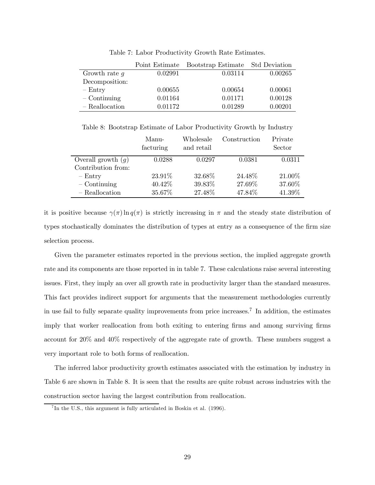|                 | Point Estimate | Bootstrap Estimate Std Deviation |         |
|-----------------|----------------|----------------------------------|---------|
| Growth rate $g$ | 0.02991        | 0.03114                          | 0.00265 |
| Decomposition:  |                |                                  |         |
| $-$ Entry       | 0.00655        | 0.00654                          | 0.00061 |
| $-$ Continuing  | 0.01164        | 0.01171                          | 0.00128 |
| - Reallocation  | 0.01172        | 0.01289                          | 0.00201 |

Table 7: Labor Productivity Growth Rate Estimates.

Table 8: Bootstrap Estimate of Labor Productivity Growth by Industry

|                      | Manu-<br>facturing | Wholesale<br>and retail | Construction | Private<br>Sector |
|----------------------|--------------------|-------------------------|--------------|-------------------|
| Overall growth $(g)$ | 0.0288             | 0.0297                  | 0.0381       | 0.0311            |
| Contribution from:   |                    |                         |              |                   |
| $-$ Entry            | 23.91%             | 32.68%                  | 24.48%       | 21.00%            |
| $-$ Continuing       | 40.42\%            | 39.83%                  | 27.69%       | 37.60%            |
| - Reallocation       | 35.67%             | 27.48%                  | 47.84%       | 41.39%            |

it is positive because  $\gamma(\pi) \ln q(\pi)$  is strictly increasing in  $\pi$  and the steady state distribution of types stochastically dominates the distribution of types at entry as a consequence of the firm size selection process.

Given the parameter estimates reported in the previous section, the implied aggregate growth rate and its components are those reported in in table 7. These calculations raise several interesting issues. First, they imply an over all growth rate in productivity larger than the standard measures. This fact provides indirect support for arguments that the measurement methodologies currently in use fail to fully separate quality improvements from price increases.<sup>7</sup> In addition, the estimates imply that worker reallocation from both exiting to entering firms and among surviving firms account for 20% and 40% respectively of the aggregate rate of growth. These numbers suggest a very important role to both forms of reallocation.

The inferred labor productivity growth estimates associated with the estimation by industry in Table 6 are shown in Table 8. It is seen that the results are quite robust across industries with the construction sector having the largest contribution from reallocation.

 ${}^{7}$ In the U.S., this argument is fully articulated in Boskin et al. (1996).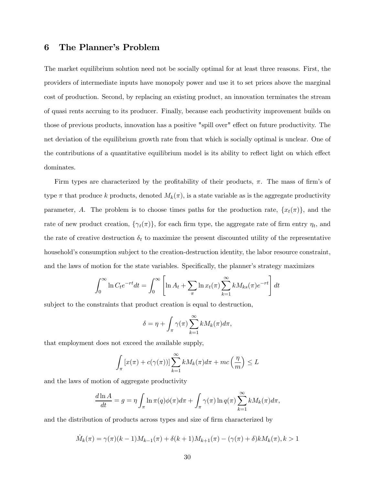### 6 The Planner's Problem

The market equilibrium solution need not be socially optimal for at least three reasons. First, the providers of intermediate inputs have monopoly power and use it to set prices above the marginal cost of production. Second, by replacing an existing product, an innovation terminates the stream of quasi rents accruing to its producer. Finally, because each productivity improvement builds on those of previous products, innovation has a positive "spill over" effect on future productivity. The net deviation of the equilibrium growth rate from that which is socially optimal is unclear. One of the contributions of a quantitative equilibrium model is its ability to reflect light on which effect dominates.

Firm types are characterized by the profitability of their products,  $\pi$ . The mass of firm's of type  $\pi$  that produce k products, denoted  $M_k(\pi)$ , is a state variable as is the aggregate productivity parameter, A. The problem is to choose times paths for the production rate,  $\{x_t(\pi)\}\$ , and the rate of new product creation,  $\{\gamma_t(\pi)\}\)$ , for each firm type, the aggregate rate of firm entry  $\eta_t$ , and the rate of creative destruction  $\delta_t$  to maximize the present discounted utility of the representative household's consumption subject to the creation-destruction identity, the labor resource constraint, and the laws of motion for the state variables. Specifically, the planner's strategy maximizes

$$
\int_0^\infty \ln C_t e^{-rt} dt = \int_0^\infty \left[ \ln A_t + \sum_\pi \ln x_t(\pi) \sum_{k=1}^\infty k M_{ks}(\pi) e^{-rt} \right] dt
$$

subject to the constraints that product creation is equal to destruction,

$$
\delta = \eta + \int_{\pi} \gamma(\pi) \sum_{k=1}^{\infty} k M_k(\pi) d\pi,
$$

that employment does not exceed the available supply,

$$
\int_{\pi} [x(\pi) + c(\gamma(\pi))] \sum_{k=1}^{\infty} k M_k(\pi) d\pi + mc\left(\frac{\eta}{m}\right) \le L
$$

and the laws of motion of aggregate productivity

$$
\frac{d\ln A}{dt} = g = \eta \int_{\pi} \ln \pi(q) \phi(\pi) d\pi + \int_{\pi} \gamma(\pi) \ln q(\pi) \sum_{k=1}^{\infty} k M_k(\pi) d\pi,
$$

and the distribution of products across types and size of firm characterized by

$$
\dot{M}_k(\pi) = \gamma(\pi)(k-1)M_{k-1}(\pi) + \delta(k+1)M_{k+1}(\pi) - (\gamma(\pi) + \delta)kM_k(\pi), k > 1
$$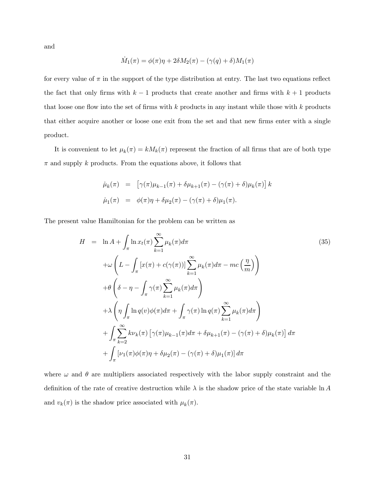and

$$
\dot{M}_1(\pi) = \phi(\pi)\eta + 2\delta M_2(\pi) - (\gamma(q) + \delta)M_1(\pi)
$$

for every value of  $\pi$  in the support of the type distribution at entry. The last two equations reflect the fact that only firms with  $k-1$  products that create another and firms with  $k+1$  products that loose one flow into the set of firms with  $k$  products in any instant while those with  $k$  products that either acquire another or loose one exit from the set and that new firms enter with a single product.

It is convenient to let  $\mu_k(\pi) = kM_k(\pi)$  represent the fraction of all firms that are of both type  $\pi$  and supply k products. From the equations above, it follows that

$$
\dot{\mu}_k(\pi) = \left[ \gamma(\pi) \mu_{k-1}(\pi) + \delta \mu_{k+1}(\pi) - (\gamma(\pi) + \delta) \mu_k(\pi) \right] k
$$
  

$$
\dot{\mu}_1(\pi) = \phi(\pi) \eta + \delta \mu_2(\pi) - (\gamma(\pi) + \delta) \mu_1(\pi).
$$

The present value Hamiltonian for the problem can be written as

$$
H = \ln A + \int_{\pi} \ln x_t(\pi) \sum_{k=1}^{\infty} \mu_k(\pi) d\pi
$$
\n
$$
+ \omega \left( L - \int_{\pi} \left[ x(\pi) + c(\gamma(\pi)) \right] \sum_{k=1}^{\infty} \mu_k(\pi) d\pi - mc \left( \frac{\eta}{m} \right) \right)
$$
\n
$$
+ \theta \left( \delta - \eta - \int_{\pi} \gamma(\pi) \sum_{k=1}^{\infty} \mu_k(\pi) d\pi \right)
$$
\n
$$
+ \lambda \left( \eta \int_{\pi} \ln q(v) \phi(\pi) d\pi + \int_{\pi} \gamma(\pi) \ln q(\pi) \sum_{k=1}^{\infty} \mu_k(\pi) d\pi \right)
$$
\n
$$
+ \int_{\pi} \sum_{k=2}^{\infty} k \nu_k(\pi) \left[ \gamma(\pi) \mu_{k-1}(\pi) d\pi + \delta \mu_{k+1}(\pi) - (\gamma(\pi) + \delta) \mu_k(\pi) \right] d\pi
$$
\n
$$
+ \int_{\pi} \left[ \nu_1(\pi) \phi(\pi) \eta + \delta \mu_2(\pi) - (\gamma(\pi) + \delta) \mu_1(\pi) \right] d\pi
$$
\n(35)

where  $\omega$  and  $\theta$  are multipliers associated respectively with the labor supply constraint and the definition of the rate of creative destruction while  $\lambda$  is the shadow price of the state variable ln A and  $v_k(\pi)$  is the shadow price associated with  $\mu_k(\pi)$ .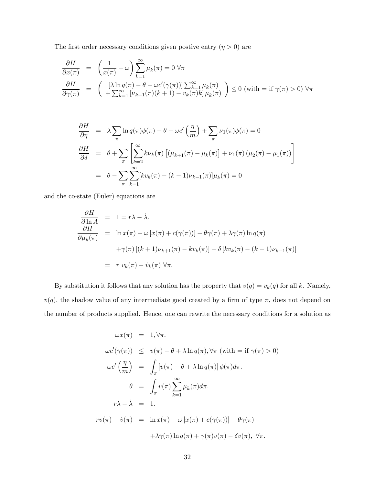The first order necessary conditions given postive entry  $(\eta>0)$  are

$$
\frac{\partial H}{\partial x(\pi)} = \left(\frac{1}{x(\pi)} - \omega\right) \sum_{k=1}^{\infty} \mu_k(\pi) = 0 \,\forall \pi
$$
\n
$$
\frac{\partial H}{\partial \gamma(\pi)} = \left(\begin{array}{c} \left[\lambda \ln q(\pi) - \theta - \omega c'(\gamma(\pi))\right] \sum_{k=1}^{\infty} \mu_k(\pi) \\ + \sum_{k=1}^{\infty} \left[\nu_{k+1}(\pi)(k+1) - \nu_k(\pi)k\right] \mu_k(\pi) \end{array}\right) \le 0 \text{ (with } = \text{if } \gamma(\pi) > 0 \,\forall \pi
$$

$$
\frac{\partial H}{\partial \eta} = \lambda \sum_{\pi} \ln q(\pi) \phi(\pi) - \theta - \omega c' \left(\frac{\eta}{m}\right) + \sum_{\pi} \nu_1(\pi) \phi(\pi) = 0
$$
  

$$
\frac{\partial H}{\partial \delta} = \theta + \sum_{\pi} \left[ \sum_{k=2}^{\infty} k \nu_k(\pi) \left[ (\mu_{k+1}(\pi) - \mu_k(\pi)) + \nu_1(\pi) (\mu_2(\pi) - \mu_1(\pi)) \right] \right]
$$
  

$$
= \theta - \sum_{\pi} \sum_{k=1}^{\infty} \left[ k \nu_k(\pi) - (k-1) \nu_{k-1}(\pi) \right] \mu_k(\pi) = 0
$$

and the co-state (Euler) equations are

$$
\frac{\partial H}{\partial \ln A} = 1 = r\lambda - \dot{\lambda}.
$$
\n
$$
\frac{\partial H}{\partial \mu_k(\pi)} = \ln x(\pi) - \omega [x(\pi) + c(\gamma(\pi))] - \theta \gamma(\pi) + \lambda \gamma(\pi) \ln q(\pi)
$$
\n
$$
+ \gamma(\pi) [(k+1)\nu_{k+1}(\pi) - kv_k(\pi)] - \delta [kv_k(\pi) - (k-1)\nu_{k-1}(\pi)]
$$
\n
$$
= r v_k(\pi) - \dot{v}_k(\pi) \,\forall \pi.
$$

By substitution it follows that any solution has the property that  $v(q) = v_k(q)$  for all k. Namely,  $v(q)$ , the shadow value of any intermediate good created by a firm of type  $\pi$ , does not depend on the number of products supplied. Hence, one can rewrite the necessary conditions for a solution as

$$
\omega x(\pi) = 1, \forall \pi.
$$
  
\n
$$
\omega c'(\gamma(\pi)) \le v(\pi) - \theta + \lambda \ln q(\pi), \forall \pi \text{ (with } = \text{if } \gamma(\pi) > 0)
$$
  
\n
$$
\omega c' \left(\frac{\eta}{m}\right) = \int_{\pi} \left[v(\pi) - \theta + \lambda \ln q(\pi)\right] \phi(\pi) d\pi.
$$
  
\n
$$
\theta = \int_{\pi} v(\pi) \sum_{k=1}^{\infty} \mu_k(\pi) d\pi.
$$
  
\n
$$
r\lambda - \lambda = 1.
$$
  
\n
$$
rv(\pi) - \dot{v}(\pi) = \ln x(\pi) - \omega \left[x(\pi) + c(\gamma(\pi))\right] - \theta \gamma(\pi)
$$
  
\n
$$
+ \lambda \gamma(\pi) \ln q(\pi) + \gamma(\pi) v(\pi) - \delta v(\pi), \forall \pi.
$$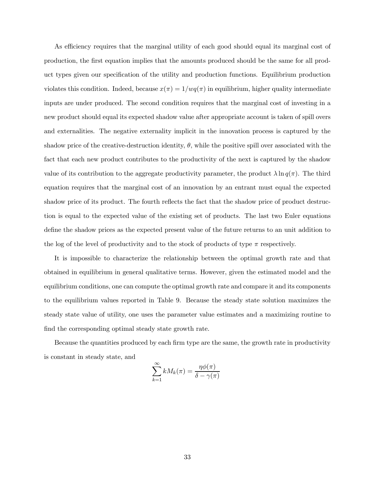As efficiency requires that the marginal utility of each good should equal its marginal cost of production, the first equation implies that the amounts produced should be the same for all product types given our specification of the utility and production functions. Equilibrium production violates this condition. Indeed, because  $x(\pi)=1/wq(\pi)$  in equilibrium, higher quality intermediate inputs are under produced. The second condition requires that the marginal cost of investing in a new product should equal its expected shadow value after appropriate account is taken of spill overs and externalities. The negative externality implicit in the innovation process is captured by the shadow price of the creative-destruction identity,  $\theta$ , while the positive spill over associated with the fact that each new product contributes to the productivity of the next is captured by the shadow value of its contribution to the aggregate productivity parameter, the product  $\lambda \ln q(\pi)$ . The third equation requires that the marginal cost of an innovation by an entrant must equal the expected shadow price of its product. The fourth reflects the fact that the shadow price of product destruction is equal to the expected value of the existing set of products. The last two Euler equations define the shadow prices as the expected present value of the future returns to an unit addition to the log of the level of productivity and to the stock of products of type  $\pi$  respectively.

It is impossible to characterize the relationship between the optimal growth rate and that obtained in equilibrium in general qualitative terms. However, given the estimated model and the equilibrium conditions, one can compute the optimal growth rate and compare it and its components to the equilibrium values reported in Table 9. Because the steady state solution maximizes the steady state value of utility, one uses the parameter value estimates and a maximizing routine to find the corresponding optimal steady state growth rate.

Because the quantities produced by each firm type are the same, the growth rate in productivity is constant in steady state, and

$$
\sum_{k=1}^{\infty} k M_k(\pi) = \frac{\eta \phi(\pi)}{\delta - \gamma(\pi)}
$$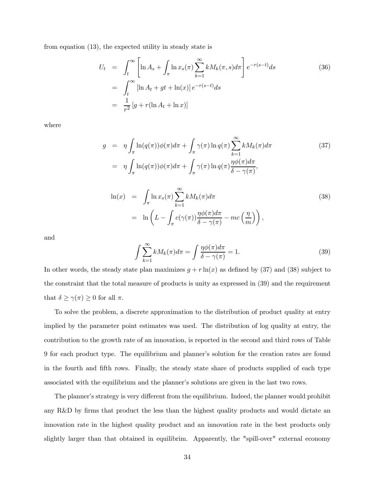from equation (13), the expected utility in steady state is

$$
U_t = \int_t^{\infty} \left[ \ln A_s + \int_{\pi} \ln x_s(\pi) \sum_{k=1}^{\infty} k M_k(\pi, s) d\pi \right] e^{-r(s-t)} ds
$$
  
\n
$$
= \int_t^{\infty} \left[ \ln A_t + gt + \ln(x) \right] e^{-r(s-t)} ds
$$
  
\n
$$
= \frac{1}{r^2} \left[ g + r (\ln A_t + \ln x) \right]
$$
\n(36)

where

$$
g = \eta \int_{\pi} \ln(q(\pi))\phi(\pi)d\pi + \int_{\pi} \gamma(\pi) \ln q(\pi) \sum_{k=1}^{\infty} k M_k(\pi) d\pi
$$
 (37)  
\n
$$
= \eta \int_{\pi} \ln(q(\pi))\phi(\pi)d\pi + \int_{\pi} \gamma(\pi) \ln q(\pi) \frac{\eta \phi(\pi) d\pi}{\delta - \gamma(\pi)},
$$
  
\n
$$
\ln(x) = \int_{\pi} \ln x_s(\pi) \sum_{k=1}^{\infty} k M_k(\pi) d\pi
$$
  
\n
$$
= \ln \left( L - \int_{\pi} c(\gamma(\pi)) \frac{\eta \phi(\pi) d\pi}{\delta - \gamma(\pi)} - mc \left( \frac{\eta}{m} \right) \right),
$$
 (38)

and

$$
\int \sum_{k=1}^{\infty} k M_k(\pi) d\pi = \int \frac{\eta \phi(\pi) d\pi}{\delta - \gamma(\pi)} = 1.
$$
\n(39)

In other words, the steady state plan maximizes  $g + r \ln(x)$  as defined by (37) and (38) subject to the constraint that the total measure of products is unity as expressed in (39) and the requirement that  $\delta \geq \gamma(\pi) \geq 0$  for all  $\pi$ .

To solve the problem, a discrete approximation to the distribution of product quality at entry implied by the parameter point estimates was used. The distribution of log quality at entry, the contribution to the growth rate of an innovation, is reported in the second and third rows of Table 9 for each product type. The equilibrium and planner's solution for the creation rates are found in the fourth and fifth rows. Finally, the steady state share of products supplied of each type associated with the equilibrium and the planner's solutions are given in the last two rows.

The planner's strategy is very different from the equilibrium. Indeed, the planner would prohibit any R&D by firms that product the less than the highest quality products and would dictate an innovation rate in the highest quality product and an innovation rate in the best products only slightly larger than that obtained in equilibrim. Apparently, the "spill-over" external economy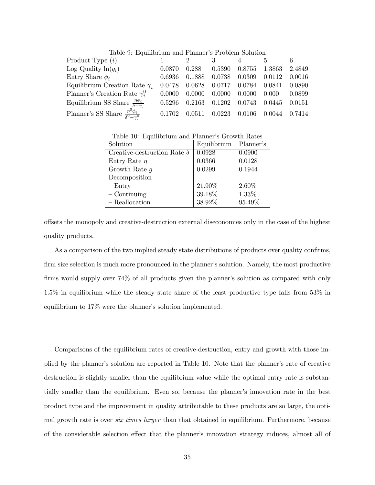| Table 9: Equilibrium and Planner's Problem Solution            |        |             |        |        |        |        |
|----------------------------------------------------------------|--------|-------------|--------|--------|--------|--------|
| Product Type $(i)$                                             |        | $2^{\circ}$ | 3      |        | 5.     |        |
| Log Quality $\ln(q_i)$                                         | 0.0870 | 0.288       | 0.5390 | 0.8755 | 1.3863 | 2.4849 |
| Entry Share $\phi_i$                                           | 0.6936 | 0.1888      | 0.0738 | 0.0309 | 0.0112 | 0.0016 |
| Equilibrium Creation Rate $\gamma_i$                           | 0.0478 | 0.0628      | 0.0717 | 0.0784 | 0.0841 | 0.0890 |
| Planner's Creation Rate $\gamma_i^0$                           | 0.0000 | 0.0000      | 0.0000 | 0.0000 | 0.000  | 0.0899 |
| Equilibrium SS Share $\frac{\eta \phi_i}{\delta - \gamma_i}$   | 0.5296 | 0.2163      | 0.1202 | 0.0743 | 0.0445 | 0.0151 |
| Planner's SS Share $\frac{\eta^0 \phi_i}{\delta^0 - \gamma^0}$ | 0.1702 | 0.0511      | 0.0223 | 0.0106 | 0.0044 | 0.7414 |

Table 10: Equilibrium and Planner's Growth Rates

| Solution                           | Equilibrium Planner's |        |
|------------------------------------|-----------------------|--------|
| Creative-destruction Rate $\delta$ | 0.0928                | 0.0900 |
| Entry Rate $\eta$                  | 0.0366                | 0.0128 |
| Growth Rate $q$                    | 0.0299                | 0.1944 |
| Decomposition                      |                       |        |
| $-$ Entry                          | 21.90%                | 2.60%  |
| $-$ Continuing                     | 39.18%                | 1.33%  |
| - Reallocation                     | 38.92%                | 95.49% |

offsets the monopoly and creative-destruction external diseconomies only in the case of the highest quality products.

As a comparison of the two implied steady state distributions of products over quality confirms, firm size selection is much more pronounced in the planner's solution. Namely, the most productive firms would supply over 74% of all products given the planner's solution as compared with only 1.5% in equilibrium while the steady state share of the least productive type falls from 53% in equilibrium to 17% were the planner's solution implemented.

Comparisons of the equilibrium rates of creative-destruction, entry and growth with those implied by the planner's solution are reported in Table 10. Note that the planner's rate of creative destruction is slightly smaller than the equilibrium value while the optimal entry rate is substantially smaller than the equilibrium. Even so, because the planner's innovation rate in the best product type and the improvement in quality attributable to these products are so large, the optimal growth rate is over *six times larger* than that obtained in equilibrium. Furthermore, because of the considerable selection effect that the planner's innovation strategy induces, almost all of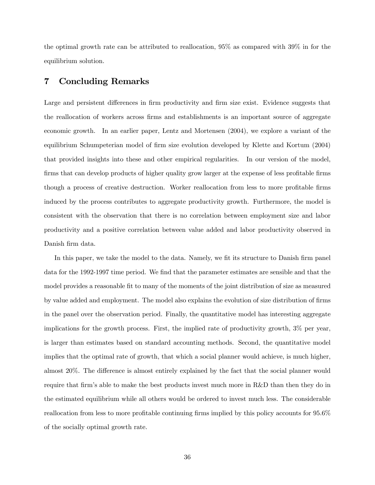the optimal growth rate can be attributed to reallocation, 95% as compared with 39% in for the equilibrium solution.

### 7 Concluding Remarks

Large and persistent differences in firm productivity and firm size exist. Evidence suggests that the reallocation of workers across firms and establishments is an important source of aggregate economic growth. In an earlier paper, Lentz and Mortensen (2004), we explore a variant of the equilibrium Schumpeterian model of firm size evolution developed by Klette and Kortum (2004) that provided insights into these and other empirical regularities. In our version of the model, firms that can develop products of higher quality grow larger at the expense of less profitable firms though a process of creative destruction. Worker reallocation from less to more profitable firms induced by the process contributes to aggregate productivity growth. Furthermore, the model is consistent with the observation that there is no correlation between employment size and labor productivity and a positive correlation between value added and labor productivity observed in Danish firm data.

In this paper, we take the model to the data. Namely, we fit its structure to Danish firm panel data for the 1992-1997 time period. We find that the parameter estimates are sensible and that the model provides a reasonable fit to many of the moments of the joint distribution of size as measured by value added and employment. The model also explains the evolution of size distribution of firms in the panel over the observation period. Finally, the quantitative model has interesting aggregate implications for the growth process. First, the implied rate of productivity growth, 3% per year, is larger than estimates based on standard accounting methods. Second, the quantitative model implies that the optimal rate of growth, that which a social planner would achieve, is much higher, almost 20%. The difference is almost entirely explained by the fact that the social planner would require that firm's able to make the best products invest much more in R&D than then they do in the estimated equilibrium while all others would be ordered to invest much less. The considerable reallocation from less to more profitable continuing firms implied by this policy accounts for 95.6% of the socially optimal growth rate.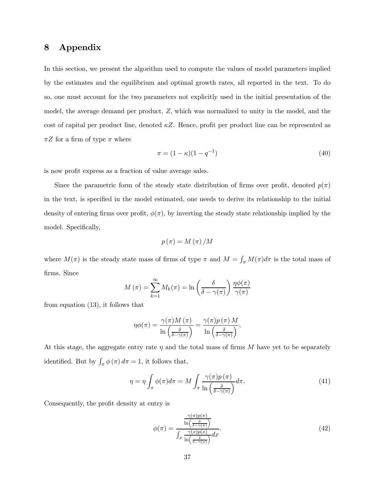# 8 Appendix

In this section, we present the algorithm used to compute the values of model parameters implied by the estimates and the equilibrium and optimal growth rates, all reported in the text. To do so, one must account for the two parameters not explicitly used in the initial presentation of the model, the average demand per product, Z, which was normalized to unity in the model, and the cost of capital per product line, denoted  $\kappa Z$ . Hence, profit per product line can be represented as  $\pi Z$  for a firm of type  $\pi$  where

$$
\pi = (1 - \kappa)(1 - q^{-1})\tag{40}
$$

is now profit express as a fraction of value average sales.

Since the parametric form of the steady state distribution of firms over profit, denoted  $p(\pi)$ in the text, is specified in the model estimated, one needs to derive its relationship to the initial density of entering firms over profit,  $\phi(\pi)$ , by inverting the steady state relationship implied by the model. Specifically,

$$
p(\pi) = M(\pi) / M
$$

where  $M(\pi)$  is the steady state mass of firms of type  $\pi$  and  $M = \int_{\pi} M(\pi) d\pi$  is the total mass of firms. Since

$$
M(\pi) = \sum_{k=1}^{\infty} M_k(\pi) = \ln\left(\frac{\delta}{\delta - \gamma(\pi)}\right) \frac{\eta \phi(\pi)}{\gamma(\pi)}
$$

from equation (13), it follows that

$$
\eta \phi(\pi) = \frac{\gamma(\pi) M(\pi)}{\ln \left( \frac{\delta}{\delta - \gamma(\pi)} \right)} = \frac{\gamma(\pi) p(\pi) M}{\ln \left( \frac{\delta}{\delta - \gamma(\pi)} \right)},
$$

At this stage, the aggregate entry rate  $\eta$  and the total mass of firms M have yet to be separately identified. But by  $\int_{\pi} \phi(\pi) d\pi = 1$ , it follows that,

$$
\eta = \eta \int_{\pi} \phi(\pi) d\pi = M \int_{\pi} \frac{\gamma(\pi) p(\pi)}{\ln\left(\frac{\delta}{\delta - \gamma(\pi)}\right)} d\pi.
$$
\n(41)

Consequently, the profit density at entry is

$$
\phi(\pi) = \frac{\frac{\gamma(\pi)p(\pi)}{\ln\left(\frac{\delta}{\delta - \gamma(\pi)}\right)}}{\int_x \frac{\gamma(x)p(x)}{\ln\left(\frac{\delta}{\delta - \gamma(\pi)}\right)} dx}.\tag{42}
$$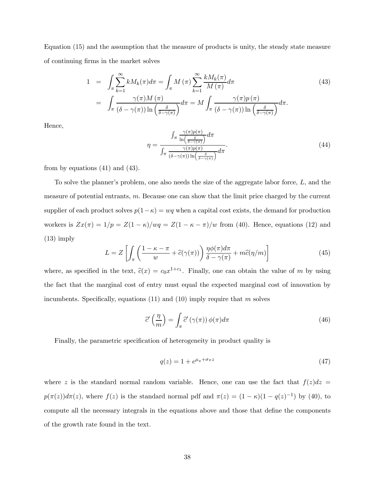Equation (15) and the assumption that the measure of products is unity, the steady state measure of continuing firms in the market solves

$$
1 = \int_{\pi} \sum_{k=1}^{\infty} k M_k(\pi) d\pi = \int_{\pi} M(\pi) \sum_{k=1}^{\infty} \frac{k M_k(\pi)}{M(\pi)} d\pi
$$
  

$$
= \int_{\pi} \frac{\gamma(\pi) M(\pi)}{(\delta - \gamma(\pi)) \ln\left(\frac{\delta}{\delta - \gamma(\pi)}\right)} d\pi = M \int_{\pi} \frac{\gamma(\pi) p(\pi)}{(\delta - \gamma(\pi)) \ln\left(\frac{\delta}{\delta - \gamma(\pi)}\right)} d\pi.
$$
 (43)

Hence,

$$
\eta = \frac{\int_{\pi} \frac{\gamma(\pi)p(\pi)}{\ln\left(\frac{\delta}{\delta - \gamma(\pi)}\right)} d\pi}{\int_{\pi} \frac{\gamma(\pi)p(\pi)}{(\delta - \gamma(\pi))\ln\left(\frac{\delta}{\delta - \gamma(\pi)}\right)} d\pi}.
$$
(44)

from by equations  $(41)$  and  $(43)$ .

To solve the planner's problem, one also needs the size of the aggregate labor force, L, and the measure of potential entrants,  $m$ . Because one can show that the limit price charged by the current supplier of each product solves  $p(1-\kappa) = wq$  when a capital cost exists, the demand for production workers is  $Zx(\pi)=1/p = Z(1 - \kappa)/wq = Z(1 - \kappa - \pi)/w$  from (40). Hence, equations (12) and (13) imply

$$
L = Z \left[ \int_{\pi} \left( \frac{1 - \kappa - \pi}{w} + \hat{c}(\gamma(\pi)) \right) \frac{\eta \phi(\pi) d\pi}{\delta - \gamma(\pi)} + m \hat{c}(\eta/m) \right]
$$
(45)

where, as specified in the text,  $\hat{c}(x) = c_0 x^{1+c_1}$ . Finally, one can obtain the value of m by using the fact that the marginal cost of entry must equal the expected marginal cost of innovation by incumbents. Specifically, equations  $(11)$  and  $(10)$  imply require that m solves

$$
\widehat{c}^{\prime}\left(\frac{\eta}{m}\right) = \int_{\pi} \widehat{c}^{\prime}\left(\gamma(\pi)\right) \phi(\pi) d\pi \tag{46}
$$

Finally, the parametric specification of heterogeneity in product quality is

$$
q(z) = 1 + e^{\mu_{\pi} + \sigma_{\pi} z} \tag{47}
$$

where z is the standard normal random variable. Hence, one can use the fact that  $f(z)dz =$  $p(\pi(z))d\pi(z)$ , where  $f(z)$  is the standard normal pdf and  $\pi(z) = (1 - \kappa)(1 - q(z)^{-1})$  by (40), to compute all the necessary integrals in the equations above and those that define the components of the growth rate found in the text.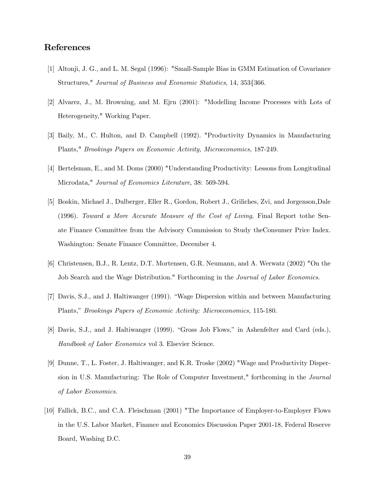## References

- [1] Altonji, J. G., and L. M. Segal (1996): "Small-Sample Bias in GMM Estimation of Covariance Structures," Journal of Business and Economic Statistics, 14, 353{366.
- [2] Alvarez, J., M. Browning, and M. Ejrn (2001): "Modelling Income Processes with Lots of Heterogeneity," Working Paper.
- [3] Baily, M., C. Hulton, and D. Campbell (1992). "Productivity Dynamics in Manufacturing Plants," Brookings Papers on Economic Activity, Microeconomics, 187-249.
- [4] Bertelsman, E., and M. Doms (2000) "Understanding Productivity: Lessons from Longitudinal Microdata," Journal of Economics Literature, 38: 569-594.
- [5] Boskin, Michael J., Dulberger, Eller R., Gordon, Robert J., Griliches, Zvi, and Jorgenson,Dale (1996). Toward a More Accurate Measure of the Cost of Living, Final Report tothe Senate Finance Committee from the Advisory Commission to Study theConsumer Price Index. Washington: Senate Finance Committee, December 4.
- [6] Christensen, B.J., R. Lentz, D.T. Mortensen, G.R. Neumann, and A. Werwatz (2002) "On the Job Search and the Wage Distribution." Forthcoming in the *Journal of Labor Economics*.
- [7] Davis, S.J., and J. Haltiwanger (1991). "Wage Dispersion within and between Manufacturing Plants," Brookings Papers of Economic Activity: Microeconomics, 115-180.
- [8] Davis, S.J., and J. Haltiwanger (1999). "Gross Job Flows," in Ashenfelter and Card (eds.), Handbook of Labor Economics vol 3. Elsevier Science.
- [9] Dunne, T., L. Foster, J. Haltiwanger, and K.R. Troske (2002) "Wage and Productivity Dispersion in U.S. Manufacturing: The Role of Computer Investment," forthcoming in the Journal of Labor Economics.
- [10] Fallick, B.C., and C.A. Fleischman (2001) "The Importance of Employer-to-Employer Flows in the U.S. Labor Market, Finance and Economics Discussion Paper 2001-18, Federal Reserve Board, Washing D.C.